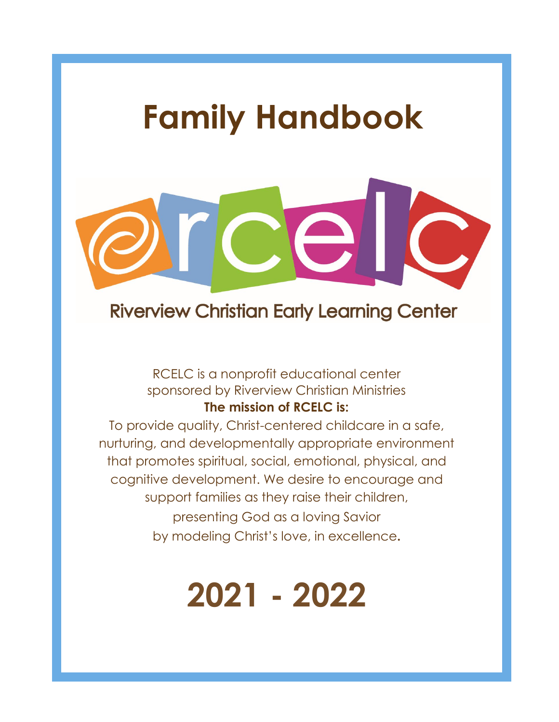## **Family Handbook**



## **Riverview Christian Early Learning Center**

## RCELC is a nonprofit educational center sponsored by Riverview Christian Ministries **The mission of RCELC is:**

To provide quality, Christ-centered childcare in a safe, nurturing, and developmentally appropriate environment that promotes spiritual, social, emotional, physical, and cognitive development. We desire to encourage and support families as they raise their children, presenting God as a loving Savior by modeling Christ's love, in excellence**.**

# **2021 - 2022**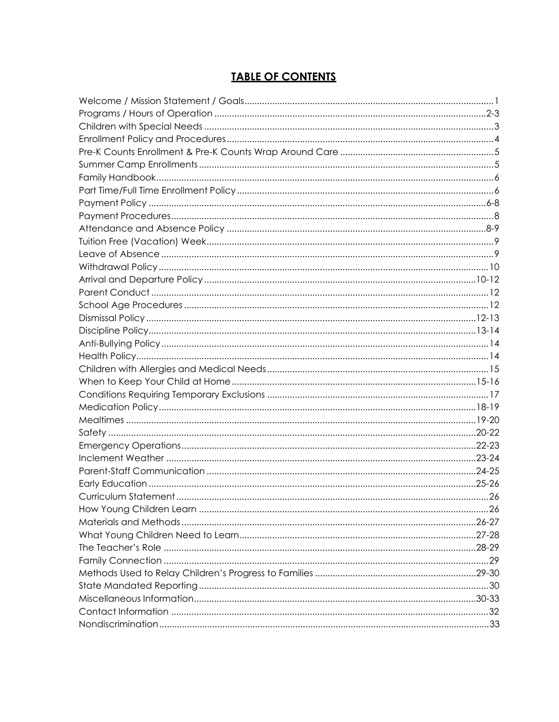## **TABLE OF CONTENTS**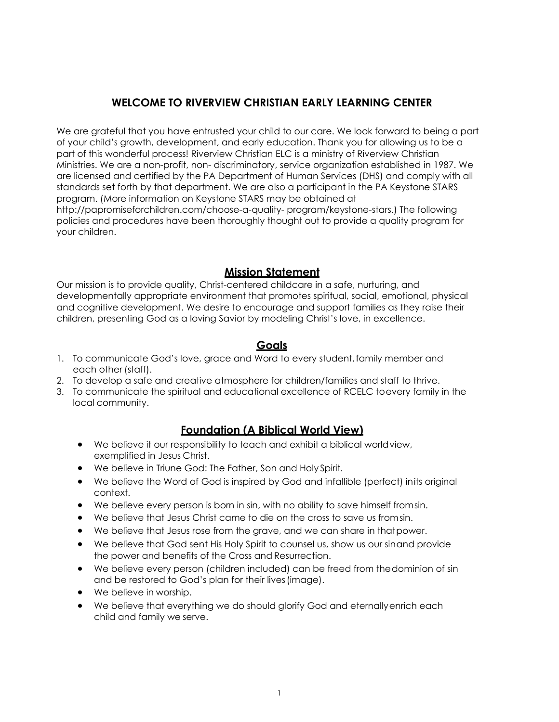## **WELCOME TO RIVERVIEW CHRISTIAN EARLY LEARNING CENTER**

We are grateful that you have entrusted your child to our care. We look forward to being a part of your child's growth, development, and early education. Thank you for allowing us to be a part of this wonderful process! Riverview Christian ELC is a ministry of Riverview Christian Ministries. We are a non-profit, non- discriminatory, service organization established in 1987. We are licensed and certified by the PA Department of Human Services (DHS) and comply with all standards set forth by that department. We are also a participant in the PA Keystone STARS program. (More information on Keystone STARS may be obtained at <http://papromiseforchildren.com/choose-a-quality-> program/keystone-stars.) The following policies and procedures have been thoroughly thought out to provide a quality program for your children.

#### **Mission Statement**

Our mission is to provide quality, Christ-centered childcare in a safe, nurturing, and developmentally appropriate environment that promotes spiritual, social, emotional, physical and cognitive development. We desire to encourage and support families as they raise their children, presenting God as a loving Savior by modeling Christ's love, in excellence.

## **Goals**

- 1. To communicate God's love, grace and Word to every student,family member and each other (staff).
- 2. To develop a safe and creative atmosphere for children/families and staff to thrive.
- 3. To communicate the spiritual and educational excellence of RCELC toevery family in the local community.

## **Foundation (A Biblical World View)**

- We believe it our responsibility to teach and exhibit a biblical world view, exemplified in Jesus Christ.
- We believe in Triune God: The Father, Son and Holy Spirit.
- We believe the Word of God is inspired by God and infallible (perfect) inits original context.
- We believe every person is born in sin, with no ability to save himself fromsin.
- We believe that Jesus Christ came to die on the cross to save us fromsin.
- We believe that Jesus rose from the grave, and we can share in that power.
- We believe that God sent His Holy Spirit to counsel us, show us our sinand provide the power and benefits of the Cross and Resurrection.
- We believe every person (children included) can be freed from thedominion of sin and be restored to God's plan for their lives(image).
- We believe in worship.
- We believe that everything we do should glorify God and eternallyenrich each child and family we serve.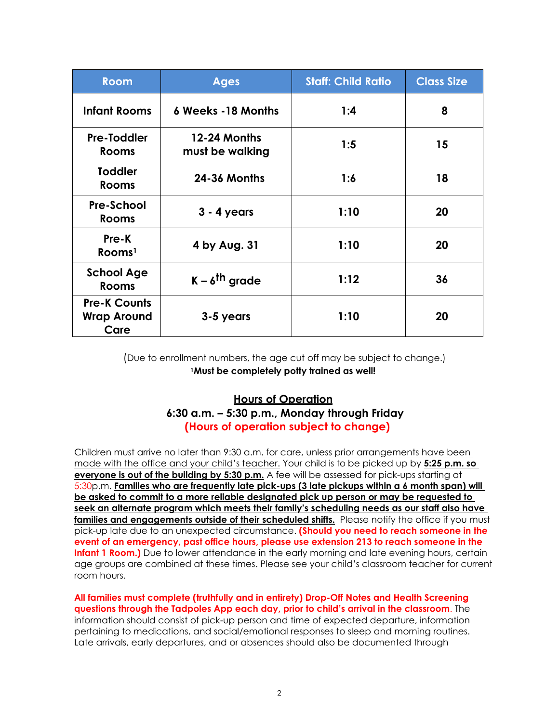| <b>Room</b>                                       | <b>Ages</b>                     | <b>Staff: Child Ratio</b> | <b>Class Size</b> |
|---------------------------------------------------|---------------------------------|---------------------------|-------------------|
| <b>Infant Rooms</b>                               | <b>6 Weeks -18 Months</b>       | 1:4                       | 8                 |
| <b>Pre-Toddler</b><br><b>Rooms</b>                | 12-24 Months<br>must be walking | 1:5                       | 15                |
| <b>Toddler</b><br><b>Rooms</b>                    | <b>24-36 Months</b>             | 1:6                       | 18                |
| <b>Pre-School</b><br><b>Rooms</b>                 | $3 - 4$ years                   | 1:10                      | 20                |
| Pre-K<br>Rooms <sup>1</sup>                       | 4 by Aug. 31                    | 1:10                      | 20                |
| <b>School Age</b><br><b>Rooms</b>                 | $K - \delta^{th}$ grade         | 1:12                      | 36                |
| <b>Pre-K Counts</b><br><b>Wrap Around</b><br>Care | 3-5 years                       | 1:10                      | 20                |

(Due to enrollment numbers, the age cut off may be subject to change.) **1Must be completely potty trained as well!**

## **Hours of Operation 6:30 a.m. – 5:30 p.m., Monday through Friday (Hours of operation subject to change)**

Children must arrive no later than 9:30 a.m. for care, unless prior arrangements have been made with the office and your child's teacher. Your child is to be picked up by **5:25 p.m. so everyone is out of the building by 5:30 p.m.** A fee will be assessed for pick-ups starting at 5:30p.m. **Families who are frequently late pick-ups (3 late pickups within a 6 month span) will be asked to commit to a more reliable designated pick up person or may be requested to seek an alternate program which meets their family's scheduling needs as our staff also have families and engagements outside of their scheduled shifts.** Please notify the office if you must pick-up late due to an unexpected circumstance. **(Should you need to reach someone in the event of an emergency, past office hours, please use extension 213 to reach someone in the Infant 1 Room.)** Due to lower attendance in the early morning and late evening hours, certain age groups are combined at these times. Please see your child's classroom teacher for current room hours.

**All families must complete (truthfully and in entirety) Drop-Off Notes and Health Screening questions through the Tadpoles App each day, prior to child's arrival in the classroom**. The information should consist of pick-up person and time of expected departure, information pertaining to medications, and social/emotional responses to sleep and morning routines. Late arrivals, early departures, and or absences should also be documented through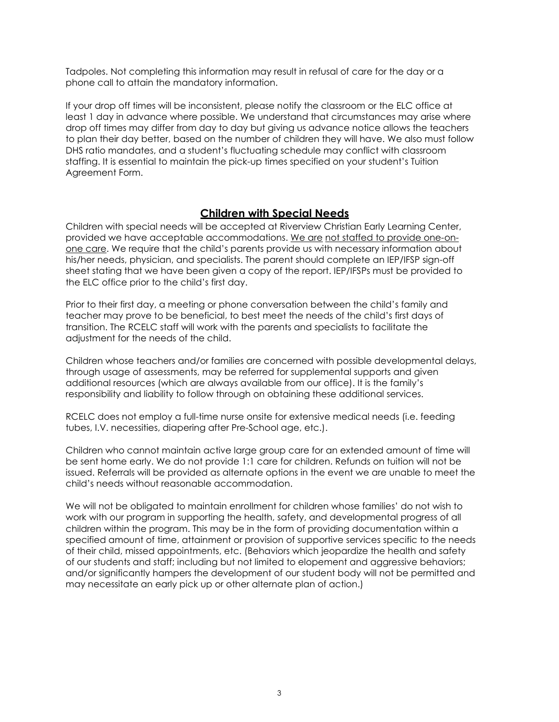Tadpoles. Not completing this information may result in refusal of care for the day or a phone call to attain the mandatory information.

If your drop off times will be inconsistent, please notify the classroom or the ELC office at least 1 day in advance where possible. We understand that circumstances may arise where drop off times may differ from day to day but giving us advance notice allows the teachers to plan their day better, based on the number of children they will have. We also must follow DHS ratio mandates, and a student's fluctuating schedule may conflict with classroom staffing. It is essential to maintain the pick-up times specified on your student's Tuition Agreement Form.

#### **Children with Special Needs**

<span id="page-4-0"></span>Children with special needs will be accepted at Riverview Christian Early Learning Center, provided we have acceptable accommodations. We are not staffed to provide one-onone care. We require that the child's parents provide us with necessary information about his/her needs, physician, and specialists. The parent should complete an IEP/IFSP sign-off sheet stating that we have been given a copy of the report. IEP/IFSPs must be provided to the ELC office prior to the child's first day.

Prior to their first day, a meeting or phone conversation between the child's family and teacher may prove to be beneficial, to best meet the needs of the child's first days of transition. The RCELC staff will work with the parents and specialists to facilitate the adjustment for the needs of the child.

Children whose teachers and/or families are concerned with possible developmental delays, through usage of assessments, may be referred for supplemental supports and given additional resources (which are always available from our office). It is the family's responsibility and liability to follow through on obtaining these additional services.

RCELC does not employ a full-time nurse onsite for extensive medical needs (i.e. feeding tubes, I.V. necessities, diapering after Pre-School age, etc.).

Children who cannot maintain active large group care for an extended amount of time will be sent home early. We do not provide 1:1 care for children. Refunds on tuition will not be issued. Referrals will be provided as alternate options in the event we are unable to meet the child's needs without reasonable accommodation.

We will not be obligated to maintain enrollment for children whose families' do not wish to work with our program in supporting the health, safety, and developmental progress of all children within the program. This may be in the form of providing documentation within a specified amount of time, attainment or provision of supportive services specific to the needs of their child, missed appointments, etc. (Behaviors which jeopardize the health and safety of our students and staff; including but not limited to elopement and aggressive behaviors; and/or significantly hampers the development of our student body will not be permitted and may necessitate an early pick up or other alternate plan of action.)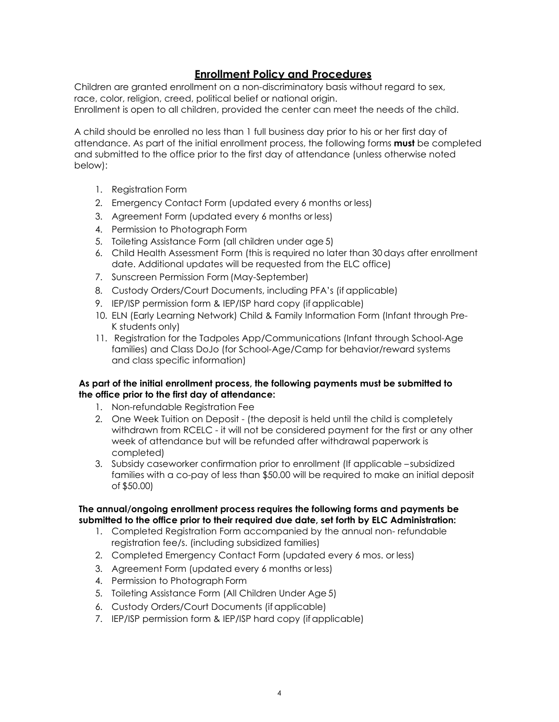## **Enrollment Policy and Procedures**

<span id="page-5-0"></span>Children are granted enrollment on a non-discriminatory basis without regard to sex, race, color, religion, creed, political belief or national origin. Enrollment is open to all children, provided the center can meet the needs of the child.

A child should be enrolled no less than 1 full business day prior to his or her first day of attendance. As part of the initial enrollment process, the following forms **must** be completed and submitted to the office prior to the first day of attendance (unless otherwise noted below):

- 1. Registration Form
- 2. Emergency Contact Form (updated every 6 months or less)
- 3. Agreement Form (updated every 6 months or less)
- 4. Permission to Photograph Form
- 5. Toileting Assistance Form (all children under age 5)
- 6. Child Health Assessment Form (this is required no later than 30days after enrollment date. Additional updates will be requested from the ELC office)
- 7. Sunscreen Permission Form (May-September)
- 8. Custody Orders/Court Documents, including PFA's (if applicable)
- 9. IEP/ISP permission form & IEP/ISP hard copy (if applicable)
- 10. ELN (Early Learning Network) Child & Family Information Form (Infant through Pre-K students only)
- 11. Registration for the Tadpoles App/Communications (Infant through School-Age families) and Class DoJo (for School-Age/Camp for behavior/reward systems and class specific information)

#### **As part of the initial enrollment process, the following payments must be submitted to the office prior to the first day of attendance:**

- 1. Non-refundable Registration Fee
- 2. One Week Tuition on Deposit (the deposit is held until the child is completely withdrawn from RCELC - it will not be considered payment for the first or any other week of attendance but will be refunded after withdrawal paperwork is completed)
- 3. Subsidy caseworker confirmation prior to enrollment (If applicable subsidized families with a co-pay of less than \$50.00 will be required to make an initial deposit of \$50.00)

#### **The annual/ongoing enrollment process requires the following forms and payments be submitted to the office prior to their required due date, set forth by ELC Administration:**

- 1. Completed Registration Form accompanied by the annual non- refundable registration fee/s. (including subsidized families)
- 2. Completed Emergency Contact Form (updated every 6 mos. or less)
- 3. Agreement Form (updated every 6 months or less)
- 4. Permission to Photograph Form
- 5. Toileting Assistance Form (All Children Under Age 5)
- 6. Custody Orders/Court Documents (if applicable)
- 7. IEP/ISP permission form & IEP/ISP hard copy (if applicable)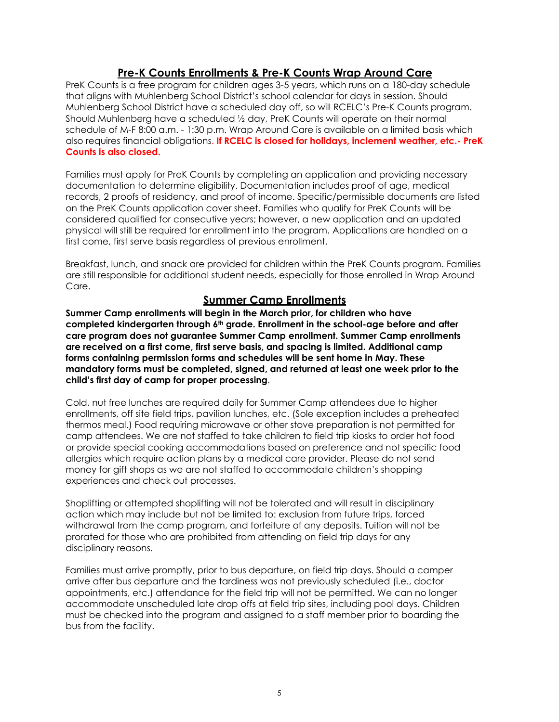## **Pre-K Counts Enrollments & Pre-K Counts Wrap Around Care**

PreK Counts is a free program for children ages 3-5 years, which runs on a 180-day schedule that aligns with Muhlenberg School District's school calendar for days in session. Should Muhlenberg School District have a scheduled day off, so will RCELC's Pre-K Counts program. Should Muhlenberg have a scheduled ½ day, PreK Counts will operate on their normal schedule of M-F 8:00 a.m. - 1:30 p.m. Wrap Around Care is available on a limited basis which also requires financial obligations. **If RCELC is closed for holidays, inclement weather, etc.- PreK Counts is also closed.** 

Families must apply for PreK Counts by completing an application and providing necessary documentation to determine eligibility. Documentation includes proof of age, medical records, 2 proofs of residency, and proof of income. Specific/permissible documents are listed on the PreK Counts application cover sheet. Families who qualify for PreK Counts will be considered qualified for consecutive years; however, a new application and an updated physical will still be required for enrollment into the program. Applications are handled on a first come, first serve basis regardless of previous enrollment.

Breakfast, lunch, and snack are provided for children within the PreK Counts program. Families are still responsible for additional student needs, especially for those enrolled in Wrap Around Care.

## **Summer Camp Enrollments**

**Summer Camp enrollments will begin in the March prior, for children who have completed kindergarten through 6th grade. Enrollment in the school-age before and after care program does not guarantee Summer Camp enrollment. Summer Camp enrollments are received on a first come, first serve basis, and spacing is limited. Additional camp forms containing permission forms and schedules will be sent home in May. These mandatory forms must be completed, signed, and returned at least one week prior to the child's first day of camp for proper processing**.

Cold, nut free lunches are required daily for Summer Camp attendees due to higher enrollments, off site field trips, pavilion lunches, etc. (Sole exception includes a preheated thermos meal.) Food requiring microwave or other stove preparation is not permitted for camp attendees. We are not staffed to take children to field trip kiosks to order hot food or provide special cooking accommodations based on preference and not specific food allergies which require action plans by a medical care provider. Please do not send money for gift shops as we are not staffed to accommodate children's shopping experiences and check out processes.

Shoplifting or attempted shoplifting will not be tolerated and will result in disciplinary action which may include but not be limited to: exclusion from future trips, forced withdrawal from the camp program, and forfeiture of any deposits. Tuition will not be prorated for those who are prohibited from attending on field trip days for any disciplinary reasons.

Families must arrive promptly, prior to bus departure, on field trip days. Should a camper arrive after bus departure and the tardiness was not previously scheduled (i.e., doctor appointments, etc.) attendance for the field trip will not be permitted. We can no longer accommodate unscheduled late drop offs at field trip sites, including pool days. Children must be checked into the program and assigned to a staff member prior to boarding the bus from the facility.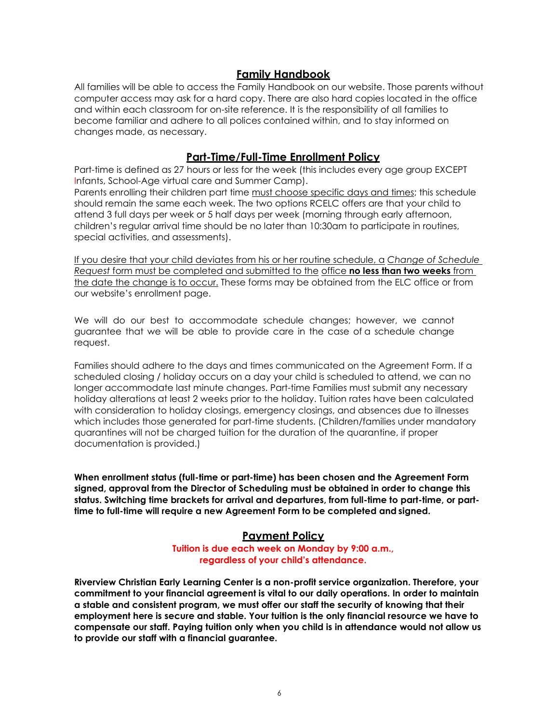## **Family Handbook**

<span id="page-7-0"></span>All families will be able to access the Family Handbook on our website. Those parents without computer access may ask for a hard copy. There are also hard copies located in the office and within each classroom for on-site reference. It is the responsibility of all families to become familiar and adhere to all polices contained within, and to stay informed on changes made, as necessary.

#### **Part-Time/Full-Time Enrollment Policy**

<span id="page-7-1"></span>Part-time is defined as 27 hours or less for the week (this includes every age group EXCEPT Infants, School-Age virtual care and Summer Camp).

Parents enrolling their children part time must choose specific days and times; this schedule should remain the same each week. The two options RCELC offers are that your child to attend 3 full days per week or 5 half days per week (morning through early afternoon, children's regular arrival time should be no later than 10:30am to participate in routines, special activities, and assessments).

If you desire that your child deviates from his or her routine schedule, a *Change of Schedule Request* form must be completed and submitted to the office **no less than two weeks** from the date the change is to occur. These forms may be obtained from the ELC office or from our website's enrollment page.

We will do our best to accommodate schedule changes; however, we cannot guarantee that we will be able to provide care in the case of a schedule change request.

Families should adhere to the days and times communicated on the Agreement Form. If a scheduled closing / holiday occurs on a day your child is scheduled to attend, we can no longer accommodate last minute changes. Part-time Families must submit any necessary holiday alterations at least 2 weeks prior to the holiday. Tuition rates have been calculated with consideration to holiday closings, emergency closings, and absences due to illnesses which includes those generated for part-time students. (Children/families under mandatory quarantines will not be charged tuition for the duration of the quarantine, if proper documentation is provided.)

**When enrollment status (full-time or part-time) has been chosen and the Agreement Form signed, approval from the Director of Scheduling must be obtained in order to change this status. Switching time brackets for arrival and departures, from full-time to part-time, or parttime to full-time will require a new Agreement Form to be completed and signed.** 

## <span id="page-7-2"></span>**Payment Policy**

**Tuition is due each week on Monday by 9:00 a.m., regardless of your child's attendance.**

**Riverview Christian Early Learning Center is a non-profit service organization. Therefore, your commitment to your financial agreement is vital to our daily operations. In order to maintain a stable and consistent program, we must offer our staff the security of knowing that their employment here is secure and stable. Your tuition is the only financial resource we have to compensate our staff. Paying tuition only when you child is in attendance would not allow us to provide our staff with a financial guarantee.**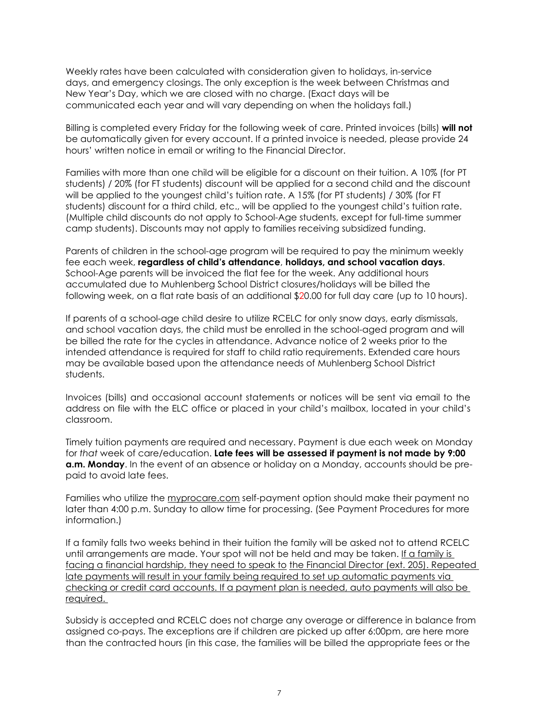Weekly rates have been calculated with consideration given to holidays, in-service days, and emergency closings. The only exception is the week between Christmas and New Year's Day, which we are closed with no charge. (Exact days will be communicated each year and will vary depending on when the holidays fall.)

Billing is completed every Friday for the following week of care. Printed invoices (bills) **will not**  be automatically given for every account. If a printed invoice is needed, please provide 24 hours' written notice in email or writing to the Financial Director.

Families with more than one child will be eligible for a discount on their tuition. A 10% (for PT students) / 20% (for FT students) discount will be applied for a second child and the discount will be applied to the youngest child's tuition rate. A 15% (for PT students) / 30% (for FT students) discount for a third child, etc., will be applied to the youngest child's tuition rate. (Multiple child discounts do not apply to School-Age students, except for full-time summer camp students). Discounts may not apply to families receiving subsidized funding.

Parents of children in the school-age program will be required to pay the minimum weekly fee each week, **regardless of child's attendance**, **holidays, and school vacation days**. School-Age parents will be invoiced the flat fee for the week. Any additional hours accumulated due to Muhlenberg School District closures/holidays will be billed the following week, on a flat rate basis of an additional \$20.00 for full day care (up to 10 hours).

If parents of a school-age child desire to utilize RCELC for only snow days, early dismissals, and school vacation days, the child must be enrolled in the school-aged program and will be billed the rate for the cycles in attendance. Advance notice of 2 weeks prior to the intended attendance is required for staff to child ratio requirements. Extended care hours may be available based upon the attendance needs of Muhlenberg School District students.

Invoices (bills) and occasional account statements or notices will be sent via email to the address on file with the ELC office or placed in your child's mailbox, located in your child's classroom.

Timely tuition payments are required and necessary. Payment is due each week on Monday for *that* week of care/education. **Late fees will be assessed if payment is not made by 9:00 a.m. Monday**. In the event of an absence or holiday on a Monday, accounts should be prepaid to avoid late fees.

Families who utilize the myprocare.com self-payment option should make their payment no later than 4:00 p.m. Sunday to allow time for processing. (See Payment Procedures for more information.)

If a family falls two weeks behind in their tuition the family will be asked not to attend RCELC until arrangements are made. Your spot will not be held and may be taken. If a family is facing a financial hardship, they need to speak to the Financial Director (ext. 205). Repeated late payments will result in your family being required to set up automatic payments via checking or credit card accounts. If a payment plan is needed, auto payments will also be required.

Subsidy is accepted and RCELC does not charge any overage or difference in balance from assigned co-pays. The exceptions are if children are picked up after 6:00pm, are here more than the contracted hours (in this case, the families will be billed the appropriate fees or the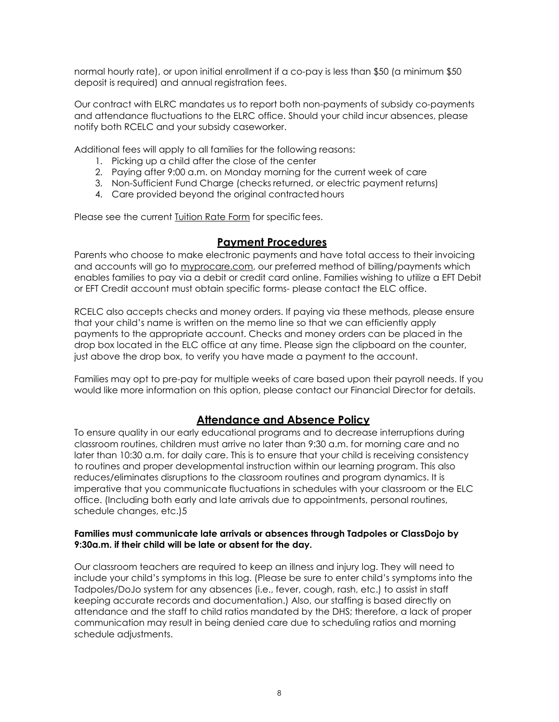normal hourly rate), or upon initial enrollment if a co-pay is less than \$50 (a minimum \$50 deposit is required) and annual registration fees.

Our contract with ELRC mandates us to report both non-payments of subsidy co-payments and attendance fluctuations to the ELRC office. Should your child incur absences, please notify both RCELC and your subsidy caseworker.

Additional fees will apply to all families for the following reasons:

- 1. Picking up a child after the close of the center
- 2. Paying after 9:00 a.m. on Monday morning for the current week of care
- 3. Non-Sufficient Fund Charge (checks returned, or electric payment returns)
- 4. Care provided beyond the original contracted hours

Please see the current Tuition Rate Form for specific fees.

#### **Payment Procedures**

<span id="page-9-0"></span>Parents who choose to make electronic payments and have total access to their invoicing and accounts will go to myprocare.com, our preferred method of billing/payments which enables families to pay via a debit or credit card online. Families wishing to utilize a EFT Debit or EFT Credit account must obtain specific forms- please contact the ELC office.

RCELC also accepts checks and money orders. If paying via these methods, please ensure that your child's name is written on the memo line so that we can efficiently apply payments to the appropriate account. Checks and money orders can be placed in the drop box located in the ELC office at any time. Please sign the clipboard on the counter, just above the drop box, to verify you have made a payment to the account.

<span id="page-9-1"></span>Families may opt to pre-pay for multiple weeks of care based upon their payroll needs. If you would like more information on this option, please contact our Financial Director for details.

## **Attendance and Absence Policy**

To ensure quality in our early educational programs and to decrease interruptions during classroom routines, children must arrive no later than 9:30 a.m. for morning care and no later than 10:30 a.m. for daily care. This is to ensure that your child is receiving consistency to routines and proper developmental instruction within our learning program. This also reduces/eliminates disruptions to the classroom routines and program dynamics. It is imperative that you communicate fluctuations in schedules with your classroom or the ELC office. (Including both early and late arrivals due to appointments, personal routines, schedule changes, etc.)5

#### **Families must communicate late arrivals or absences through Tadpoles or ClassDojo by 9:30a.m. if their child will be late or absent for the day.**

Our classroom teachers are required to keep an illness and injury log. They will need to include your child's symptoms in this log. (Please be sure to enter child's symptoms into the Tadpoles/DoJo system for any absences (i.e., fever, cough, rash, etc.) to assist in staff keeping accurate records and documentation.) Also, our staffing is based directly on attendance and the staff to child ratios mandated by the DHS; therefore, a lack of proper communication may result in being denied care due to scheduling ratios and morning schedule adjustments.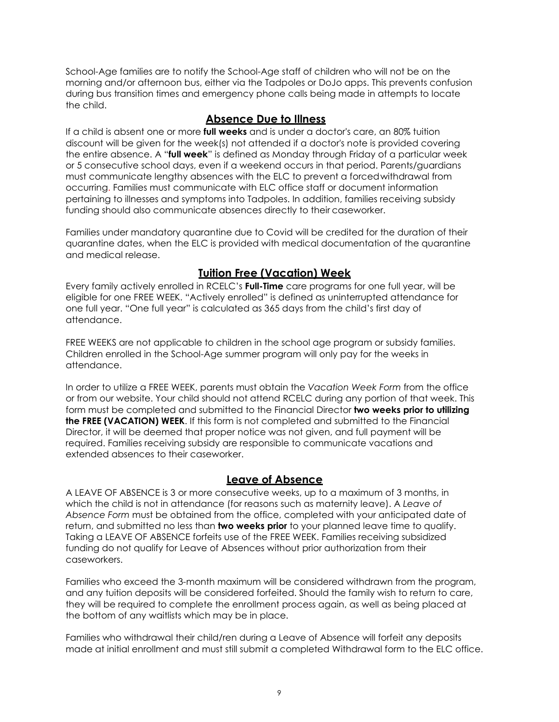School-Age families are to notify the School-Age staff of children who will not be on the morning and/or afternoon bus, either via the Tadpoles or DoJo apps. This prevents confusion during bus transition times and emergency phone calls being made in attempts to locate the child.

## **Absence Due to Illness**

If a child is absent one or more **full weeks** and is under a doctor's care, an 80% tuition discount will be given for the week(s) not attended if a doctor's note is provided covering the entire absence. A "**full week**" is defined as Monday through Friday of a particular week or 5 consecutive school days, even if a weekend occurs in that period. Parents/guardians must communicate lengthy absences with the ELC to prevent a forced withdrawal from occurring. Families must communicate with ELC office staff or document information pertaining to illnesses and symptoms into Tadpoles. In addition, families receiving subsidy funding should also communicate absences directly to their caseworker.

Families under mandatory quarantine due to Covid will be credited for the duration of their quarantine dates, when the ELC is provided with medical documentation of the quarantine and medical release.

## **Tuition Free (Vacation) Week**

<span id="page-10-0"></span>Every family actively enrolled in RCELC's **Full-Time** care programs for one full year, will be eligible for one FREE WEEK. "Actively enrolled" is defined as uninterrupted attendance for one full year. "One full year" is calculated as 365 days from the child's first day of attendance.

FREE WEEKS are not applicable to children in the school age program or subsidy families. Children enrolled in the School-Age summer program will only pay for the weeks in attendance.

In order to utilize a FREE WEEK, parents must obtain the *Vacation Week Form* from the office or from our website. Your child should not attend RCELC during any portion of that week. This form must be completed and submitted to the Financial Director **two weeks prior to utilizing the FREE (VACATION) WEEK**. If this form is not completed and submitted to the Financial Director, it will be deemed that proper notice was not given, and full payment will be required. Families receiving subsidy are responsible to communicate vacations and extended absences to their caseworker.

## **Leave of Absence**

<span id="page-10-1"></span>A LEAVE OF ABSENCE is 3 or more consecutive weeks, up to a maximum of 3 months, in which the child is not in attendance (for reasons such as maternity leave). A *Leave of Absence Form* must be obtained from the office, completed with your anticipated date of return, and submitted no less than **two weeks prior** to your planned leave time to qualify. Taking a LEAVE OF ABSENCE forfeits use of the FREE WEEK. Families receiving subsidized funding do not qualify for Leave of Absences without prior authorization from their caseworkers.

Families who exceed the 3-month maximum will be considered withdrawn from the program, and any tuition deposits will be considered forfeited. Should the family wish to return to care, they will be required to complete the enrollment process again, as well as being placed at the bottom of any waitlists which may be in place.

Families who withdrawal their child/ren during a Leave of Absence will forfeit any deposits made at initial enrollment and must still submit a completed Withdrawal form to the ELC office.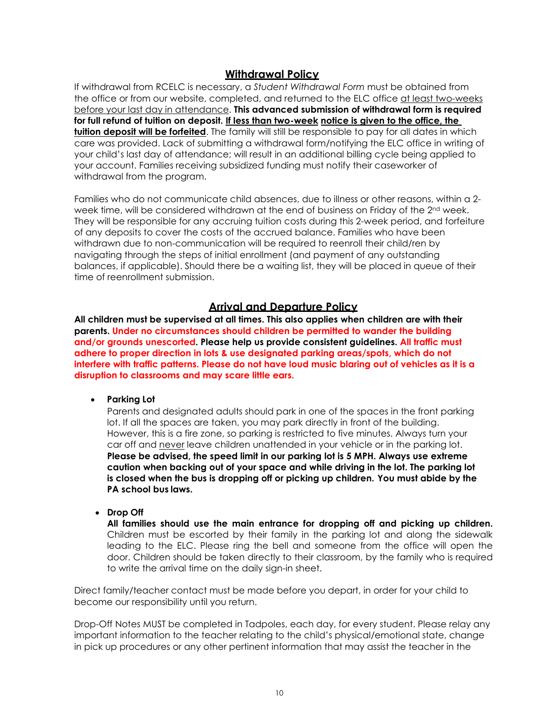## **Withdrawal Policy**

<span id="page-11-0"></span>If withdrawal from RCELC is necessary, a *Student Withdrawal Form* must be obtained from the office or from our website, completed, and returned to the ELC office at least two-weeks before your last day in attendance. **This advanced submission of withdrawal form is required for full refund of tuition on deposit. If less than two-week notice is given to the office, the tuition deposit will be forfeited**. The family will still be responsible to pay for all dates in which care was provided. Lack of submitting a withdrawal form/notifying the ELC office in writing of your child's last day of attendance; will result in an additional billing cycle being applied to your account. Families receiving subsidized funding must notify their caseworker of withdrawal from the program.

Families who do not communicate child absences, due to illness or other reasons, within a 2 week time, will be considered withdrawn at the end of business on Friday of the 2nd week. They will be responsible for any accruing tuition costs during this 2-week period, and forfeiture of any deposits to cover the costs of the accrued balance. Families who have been withdrawn due to non-communication will be required to reenroll their child/ren by navigating through the steps of initial enrollment (and payment of any outstanding balances, if applicable). Should there be a waiting list, they will be placed in queue of their time of reenrollment submission.

#### **Arrival and Departure Policy**

<span id="page-11-1"></span>**All children must be supervised at all times. This also applies when children are with their parents. Under no circumstances should children be permitted to wander the building and/or grounds unescorted. Please help us provide consistent guidelines. All traffic must adhere to proper direction in lots & use designated parking areas/spots, which do not interfere with traffic patterns. Please do not have loud music blaring out of vehicles as it is a disruption to classrooms and may scare little ears.** 

• **Parking Lot**

Parents and designated adults should park in one of the spaces in the front parking lot. If all the spaces are taken, you may park directly in front of the building. However, this is a fire zone, so parking is restricted to five minutes. Always turn your car off and never leave children unattended in your vehicle or in the parking lot. **Please be advised, the speed limit in our parking lot is 5 MPH. Always use extreme caution when backing out of your space and while driving in the lot. The parking lot is closed when the bus is dropping off or picking up children. You must abide by the PA school bus laws.**

• **Drop Off**

**All families should use the main entrance for dropping off and picking up children.**  Children must be escorted by their family in the parking lot and along the sidewalk leading to the ELC. Please ring the bell and someone from the office will open the door. Children should be taken directly to their classroom, by the family who is required to write the arrival time on the daily sign-in sheet.

Direct family/teacher contact must be made before you depart, in order for your child to become our responsibility until you return.

Drop-Off Notes MUST be completed in Tadpoles, each day, for every student. Please relay any important information to the teacher relating to the child's physical/emotional state, change in pick up procedures or any other pertinent information that may assist the teacher in the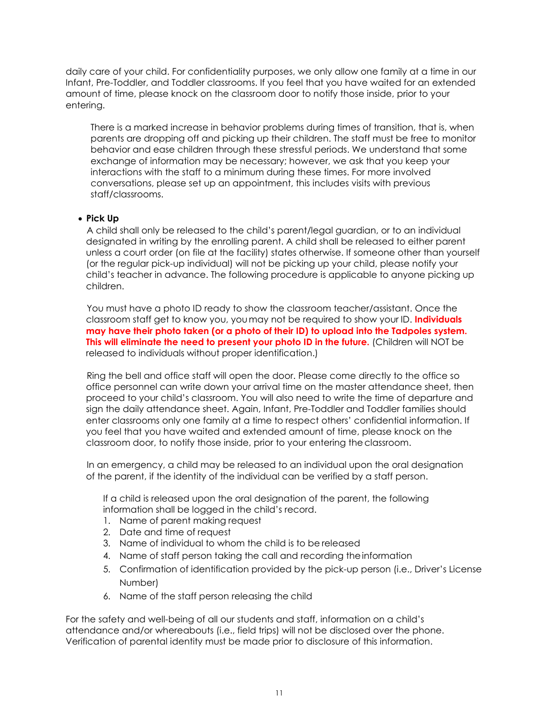daily care of your child. For confidentiality purposes, we only allow one family at a time in our Infant, Pre-Toddler, and Toddler classrooms. If you feel that you have waited for an extended amount of time, please knock on the classroom door to notify those inside, prior to your entering.

There is a marked increase in behavior problems during times of transition, that is, when parents are dropping off and picking up their children. The staff must be free to monitor behavior and ease children through these stressful periods. We understand that some exchange of information may be necessary; however, we ask that you keep your interactions with the staff to a minimum during these times. For more involved conversations, please set up an appointment, this includes visits with previous staff/classrooms.

#### • **Pick Up**

A child shall only be released to the child's parent/legal guardian, or to an individual designated in writing by the enrolling parent. A child shall be released to either parent unless a court order (on file at the facility) states otherwise. If someone other than yourself (or the regular pick-up individual) will not be picking up your child, please notify your child's teacher in advance. The following procedure is applicable to anyone picking up children.

You must have a photo ID ready to show the classroom teacher/assistant. Once the classroom staff get to know you, youmay not be required to show your ID. **Individuals may have their photo taken (or a photo of their ID) to upload into the Tadpoles system. This will eliminate the need to present your photo ID in the future.** (Children will NOT be released to individuals without proper identification.)

Ring the bell and office staff will open the door. Please come directly to the office so office personnel can write down your arrival time on the master attendance sheet, then proceed to your child's classroom. You will also need to write the time of departure and sign the daily attendance sheet. Again, Infant, Pre-Toddler and Toddler families should enter classrooms only one family at a time to respect others' confidential information. If you feel that you have waited and extended amount of time, please knock on the classroom door, to notify those inside, prior to your entering theclassroom.

In an emergency, a child may be released to an individual upon the oral designation of the parent, if the identity of the individual can be verified by a staff person.

If a child is released upon the oral designation of the parent, the following information shall be logged in the child's record.

- 1. Name of parent making request
- 2. Date and time of request
- 3. Name of individual to whom the child is to be released
- 4. Name of staff person taking the call and recording theinformation
- 5. Confirmation of identification provided by the pick-up person (i.e., Driver's License Number)
- 6. Name of the staff person releasing the child

For the safety and well-being of all our students and staff, information on a child's attendance and/or whereabouts (i.e., field trips) will not be disclosed over the phone. Verification of parental identity must be made prior to disclosure of this information.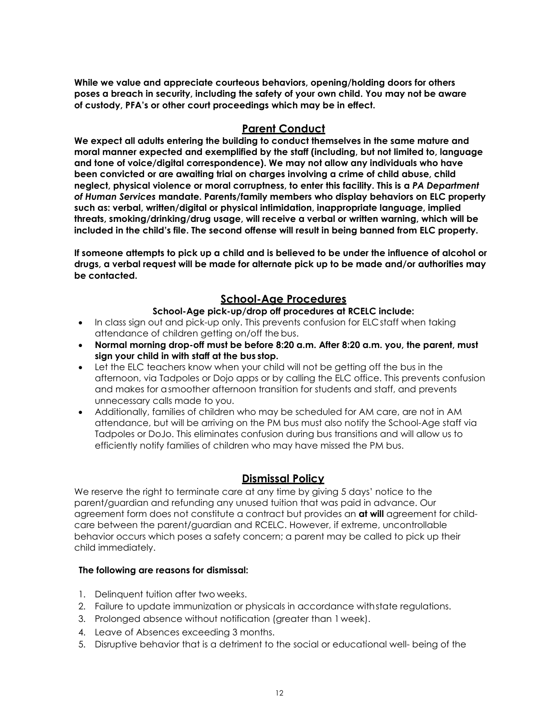**While we value and appreciate courteous behaviors, opening/holding doors for others poses a breach in security, including the safety of your own child. You may not be aware of custody, PFA's or other court proceedings which may be in effect.** 

#### <span id="page-13-0"></span>**Parent Conduct**

**We expect all adults entering the building to conduct themselves in the same mature and moral manner expected and exemplified by the staff (including, but not limited to, language and tone of voice/digital correspondence). We may not allow any individuals who have been convicted or are awaiting trial on charges involving a crime of child abuse, child neglect, physical violence or moral corruptness, to enter this facility. This is a** *PA Department of Human Services* **mandate. Parents/family members who display behaviors on ELC property such as: verbal, written/digital or physical intimidation, inappropriate language, implied threats, smoking/drinking/drug usage, will receive a verbal or written warning, which will be included in the child's file. The second offense will result in being banned from ELC property.**

**If someone attempts to pick up a child and is believed to be under the influence of alcohol or drugs, a verbal request will be made for alternate pick up to be made and/or authorities may be contacted.**

## **School-Age Procedures**

#### **School-Age pick-up/drop off procedures at RCELC include:**

- <span id="page-13-1"></span>• In class sign out and pick-up only. This prevents confusion for ELC staff when taking attendance of children getting on/off the bus.
- **Normal morning drop-off must be before 8:20 a.m. After 8:20 a.m. you, the parent, must sign your child in with staff at the bus stop.**
- Let the ELC teachers know when your child will not be getting off the bus in the afternoon, via Tadpoles or Dojo apps or by calling the ELC office. This prevents confusion and makes for asmoother afternoon transition for students and staff, and prevents unnecessary calls made to you.
- Additionally, families of children who may be scheduled for AM care, are not in AM attendance, but will be arriving on the PM bus must also notify the School-Age staff via Tadpoles or DoJo. This eliminates confusion during bus transitions and will allow us to efficiently notify families of children who may have missed the PM bus.

## **Dismissal Policy**

<span id="page-13-2"></span>We reserve the right to terminate care at any time by giving 5 days' notice to the parent/guardian and refunding any unused tuition that was paid in advance. Our agreement form does not constitute a contract but provides an **at will** agreement for childcare between the parent/guardian and RCELC. However, if extreme, uncontrollable behavior occurs which poses a safety concern; a parent may be called to pick up their child immediately.

#### **The following are reasons for dismissal:**

- 1. Delinquent tuition after two weeks.
- 2. Failure to update immunization or physicals in accordance with state regulations.
- 3. Prolonged absence without notification (greater than 1week).
- 4. Leave of Absences exceeding 3 months.
- 5. Disruptive behavior that is a detriment to the social or educational well- being of the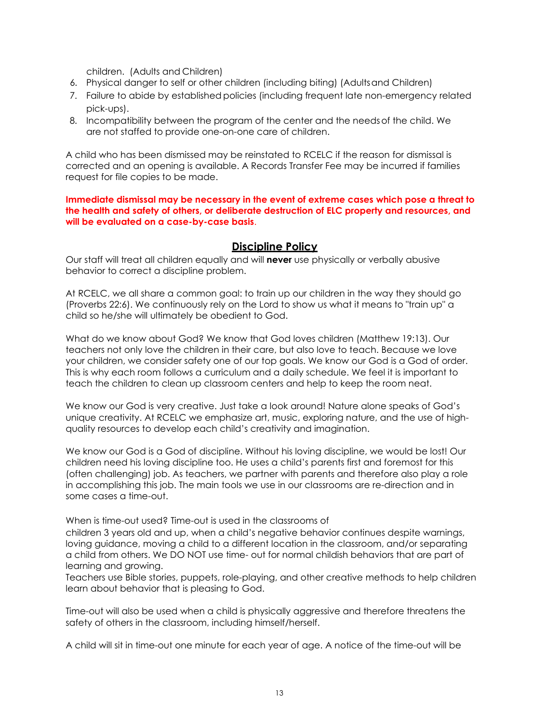children. (Adults and Children)

- 6. Physical danger to self or other children (including biting) (Adultsand Children)
- 7. Failure to abide by established policies (including frequent late non-emergency related pick-ups).
- 8. Incompatibility between the program of the center and the needsof the child. We are not staffed to provide one-on-one care of children.

A child who has been dismissed may be reinstated to RCELC if the reason for dismissal is corrected and an opening is available. A Records Transfer Fee may be incurred if families request for file copies to be made.

**Immediate dismissal may be necessary in the event of extreme cases which pose a threat to the health and safety of others, or deliberate destruction of ELC property and resources, and will be evaluated on a case-by-case basis**.

#### <span id="page-14-0"></span>**Discipline Policy**

Our staff will treat all children equally and will **never** use physically or verbally abusive behavior to correct a discipline problem.

At RCELC, we all share a common goal: to train up our children in the way they should go (Proverbs 22:6). We continuously rely on the Lord to show us what it means to "train up" a child so he/she will ultimately be obedient to God.

What do we know about God? We know that God loves children (Matthew 19:13). Our teachers not only love the children in their care, but also love to teach. Because we love your children, we consider safety one of our top goals. We know our God is a God of order. This is why each room follows a curriculum and a daily schedule. We feel it is important to teach the children to clean up classroom centers and help to keep the room neat.

We know our God is very creative. Just take a look around! Nature alone speaks of God's unique creativity. At RCELC we emphasize art, music, exploring nature, and the use of highquality resources to develop each child's creativity and imagination.

We know our God is a God of discipline. Without his loving discipline, we would be lost! Our children need his loving discipline too. He uses a child's parents first and foremost for this (often challenging) job. As teachers, we partner with parents and therefore also play a role in accomplishing this job. The main tools we use in our classrooms are re-direction and in some cases a time-out.

When is time-out used? Time-out is used in the classrooms of

children 3 years old and up, when a child's negative behavior continues despite warnings, loving guidance, moving a child to a different location in the classroom, and/or separating a child from others. We DO NOT use time- out for normal childish behaviors that are part of learning and growing.

Teachers use Bible stories, puppets, role-playing, and other creative methods to help children learn about behavior that is pleasing to God.

Time-out will also be used when a child is physically aggressive and therefore threatens the safety of others in the classroom, including himself/herself.

A child will sit in time-out one minute for each year of age. A notice of the time-out will be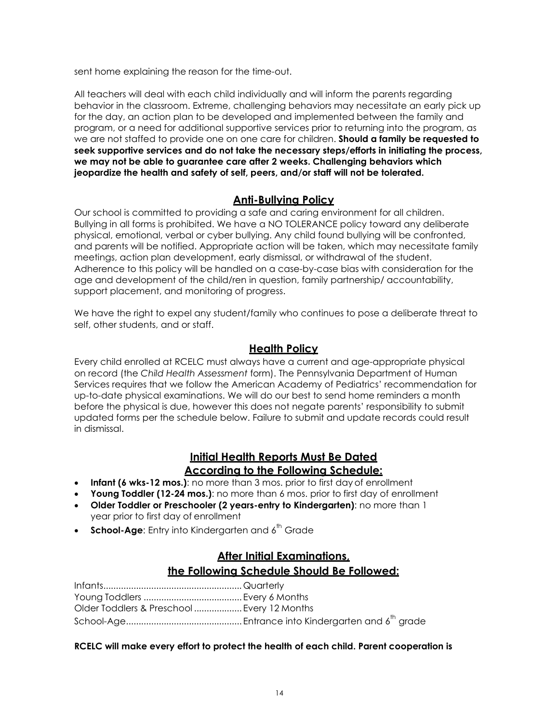sent home explaining the reason for the time-out.

All teachers will deal with each child individually and will inform the parents regarding behavior in the classroom. Extreme, challenging behaviors may necessitate an early pick up for the day, an action plan to be developed and implemented between the family and program, or a need for additional supportive services prior to returning into the program, as we are not staffed to provide one on one care for children. **Should a family be requested to seek supportive services and do not take the necessary steps/efforts in initiating the process, we may not be able to guarantee care after 2 weeks. Challenging behaviors which jeopardize the health and safety of self, peers, and/or staff will not be tolerated.** 

#### **Anti-Bullying Policy**

<span id="page-15-0"></span>Our school is committed to providing a safe and caring environment for all children. Bullying in all forms is prohibited. We have a NO TOLERANCE policy toward any deliberate physical, emotional, verbal or cyber bullying. Any child found bullying will be confronted, and parents will be notified. Appropriate action will be taken, which may necessitate family meetings, action plan development, early dismissal, or withdrawal of the student. Adherence to this policy will be handled on a case-by-case bias with consideration for the age and development of the child/ren in question, family partnership/ accountability, support placement, and monitoring of progress.

<span id="page-15-1"></span>We have the right to expel any student/family who continues to pose a deliberate threat to self, other students, and or staff.

## **Health Policy**

Every child enrolled at RCELC must always have a current and age-appropriate physical on record (the *Child Health Assessment* form). The Pennsylvania Department of Human Services requires that we follow the American Academy of Pediatrics' recommendation for up-to-date physical examinations. We will do our best to send home reminders a month before the physical is due, however this does not negate parents' responsibility to submit updated forms per the schedule below. Failure to submit and update records could result in dismissal.

## **Initial Health Reports Must Be Dated According to the Following Schedule:**

- **Infant (6 wks-12 mos.)**: no more than 3 mos. prior to first day of enrollment
- **Young Toddler (12-24 mos.)**: no more than 6 mos. prior to first day of enrollment
- **Older Toddler or Preschooler (2 years-entry to Kindergarten)**: no more than 1 year prior to first day of enrollment
- **School-Age**: Entry into Kindergarten and 6<sup>th</sup> Grade

## **After Initial Examinations, the Following Schedule Should Be Followed:**

| Older Toddlers & Preschool  Every 12 Months |  |
|---------------------------------------------|--|
|                                             |  |

#### **RCELC will make every effort to protect the health of each child. Parent cooperation is**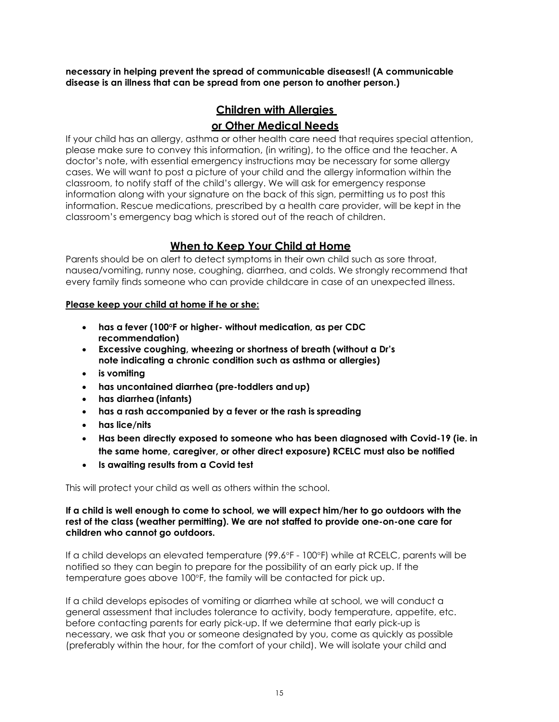**necessary in helping prevent the spread of communicable diseases!! (A communicable disease is an illness that can be spread from one person to another person.)**

## **Children with Allergies**

#### **or Other Medical Needs**

If your child has an allergy, asthma or other health care need that requires special attention, please make sure to convey this information, (in writing), to the office and the teacher. A doctor's note, with essential emergency instructions may be necessary for some allergy cases. We will want to post a picture of your child and the allergy information within the classroom, to notify staff of the child's allergy. We will ask for emergency response information along with your signature on the back of this sign, permitting us to post this information. Rescue medications, prescribed by a health care provider, will be kept in the classroom's emergency bag which is stored out of the reach of children.

## **When to Keep Your Child at Home**

<span id="page-16-0"></span>Parents should be on alert to detect symptoms in their own child such as sore throat, nausea/vomiting, runny nose, coughing, diarrhea, and colds. We strongly recommend that every family finds someone who can provide childcare in case of an unexpected illness.

#### **Please keep your child at home if he or she:**

- **has a fever (100°F or higher- without medication, as per CDC recommendation)**
- **Excessive coughing, wheezing or shortness of breath (without a Dr's note indicating a chronic condition such as asthma or allergies)**
- **is vomiting**
- **has uncontained diarrhea (pre-toddlers andup)**
- **has diarrhea (infants)**
- **has a rash accompanied by a fever or the rash is spreading**
- **has lice/nits**
- **Has been directly exposed to someone who has been diagnosed with Covid-19 (ie. in the same home, caregiver, or other direct exposure) RCELC must also be notified**
- **Is awaiting results from a Covid test**

This will protect your child as well as others within the school.

#### **If a child is well enough to come to school, we will expect him/her to go outdoors with the rest of the class (weather permitting). We are not staffed to provide one-on-one care for children who cannot go outdoors.**

If a child develops an elevated temperature (99.6°F - 100°F) while at RCELC, parents will be notified so they can begin to prepare for the possibility of an early pick up. If the temperature goes above 100°F, the family will be contacted for pick up.

If a child develops episodes of vomiting or diarrhea while at school, we will conduct a general assessment that includes tolerance to activity, body temperature, appetite, etc. before contacting parents for early pick-up. If we determine that early pick-up is necessary, we ask that you or someone designated by you, come as quickly as possible (preferably within the hour, for the comfort of your child). We will isolate your child and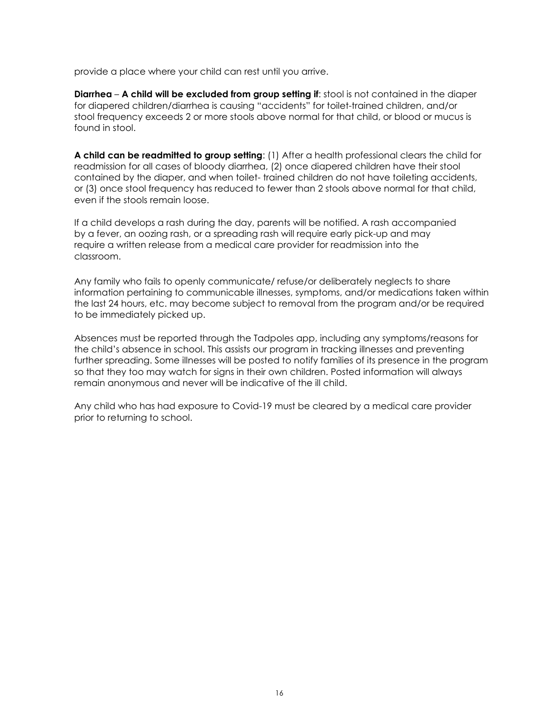provide a place where your child can rest until you arrive.

**Diarrhea** – **A child will be excluded from group setting if**: stool is not contained in the diaper for diapered children/diarrhea is causing "accidents" for toilet-trained children, and/or stool frequency exceeds 2 or more stools above normal for that child, or blood or mucus is found in stool.

**A child can be readmitted to group setting**: (1) After a health professional clears the child for readmission for all cases of bloody diarrhea, (2) once diapered children have their stool contained by the diaper, and when toilet- trained children do not have toileting accidents, or (3) once stool frequency has reduced to fewer than 2 stools above normal for that child, even if the stools remain loose.

If a child develops a rash during the day, parents will be notified. A rash accompanied by a fever, an oozing rash, or a spreading rash will require early pick-up and may require a written release from a medical care provider for readmission into the classroom.

Any family who fails to openly communicate/ refuse/or deliberately neglects to share information pertaining to communicable illnesses, symptoms, and/or medications taken within the last 24 hours, etc. may become subject to removal from the program and/or be required to be immediately picked up.

Absences must be reported through the Tadpoles app, including any symptoms/reasons for the child's absence in school. This assists our program in tracking illnesses and preventing further spreading. Some illnesses will be posted to notify families of its presence in the program so that they too may watch for signs in their own children. Posted information will always remain anonymous and never will be indicative of the ill child.

Any child who has had exposure to Covid-19 must be cleared by a medical care provider prior to returning to school.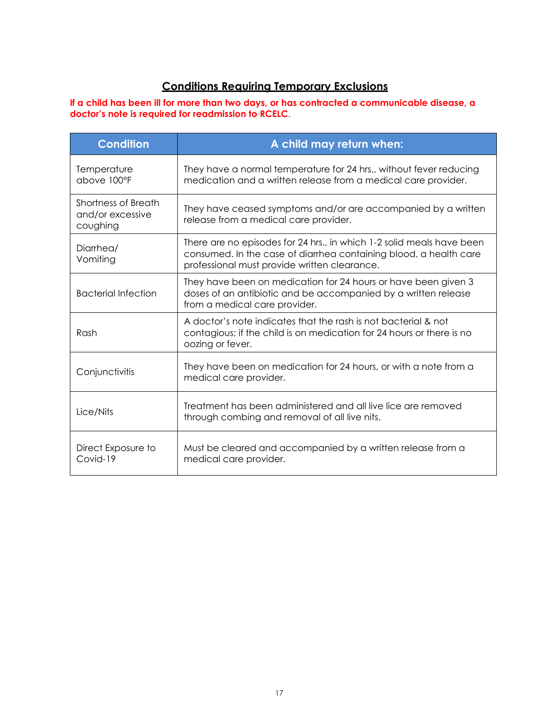## **Conditions Requiring Temporary Exclusions**

**If a child has been ill for more than two days, or has contracted a communicable disease, a doctor's note is required for readmission to RCELC**.

| <b>Condition</b>                                    | A child may return when:                                                                                                                                                                   |  |
|-----------------------------------------------------|--------------------------------------------------------------------------------------------------------------------------------------------------------------------------------------------|--|
| Temperature<br>above 100°F                          | They have a normal temperature for 24 hrs., without fever reducing<br>medication and a written release from a medical care provider.                                                       |  |
| Shortness of Breath<br>and/or excessive<br>coughing | They have ceased symptoms and/or are accompanied by a written<br>release from a medical care provider.                                                                                     |  |
| Diarrhea/<br>Vomiting                               | There are no episodes for 24 hrs., in which 1-2 solid meals have been<br>consumed. In the case of diarrhea containing blood, a health care<br>professional must provide written clearance. |  |
| <b>Bacterial Infection</b>                          | They have been on medication for 24 hours or have been given 3<br>doses of an antibiotic and be accompanied by a written release<br>from a medical care provider.                          |  |
| Rash                                                | A doctor's note indicates that the rash is not bacterial & not<br>contagious; if the child is on medication for 24 hours or there is no<br>oozing or fever.                                |  |
| Conjunctivitis                                      | They have been on medication for 24 hours, or with a note from a<br>medical care provider.                                                                                                 |  |
| Lice/Nits                                           | Treatment has been administered and all live lice are removed<br>through combing and removal of all live nits.                                                                             |  |
| Direct Exposure to<br>Covid-19                      | Must be cleared and accompanied by a written release from a<br>medical care provider.                                                                                                      |  |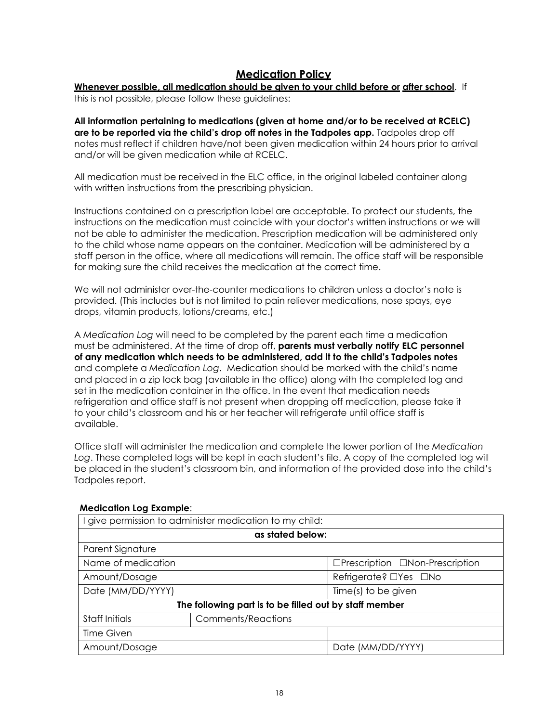## **Medication Policy**

#### <span id="page-19-0"></span>**Whenever possible, all medication should be given to your child before or after school**. If

this is not possible, please follow these guidelines:

**All information pertaining to medications (given at home and/or to be received at RCELC) are to be reported via the child's drop off notes in the Tadpoles app.** Tadpoles drop off notes must reflect if children have/not been given medication within 24 hours prior to arrival and/or will be given medication while at RCELC.

All medication must be received in the ELC office, in the original labeled container along with written instructions from the prescribing physician.

Instructions contained on a prescription label are acceptable. To protect our students, the instructions on the medication must coincide with your doctor's written instructions or we will not be able to administer the medication. Prescription medication will be administered only to the child whose name appears on the container. Medication will be administered by a staff person in the office, where all medications will remain. The office staff will be responsible for making sure the child receives the medication at the correct time.

We will not administer over-the-counter medications to children unless a doctor's note is provided. (This includes but is not limited to pain reliever medications, nose spays, eye drops, vitamin products, lotions/creams, etc.)

A *Medication Log* will need to be completed by the parent each time a medication must be administered. At the time of drop off, **parents must verbally notify ELC personnel of any medication which needs to be administered, add it to the child's Tadpoles notes** and complete a *Medication Log*. Medication should be marked with the child's name and placed in a zip lock bag (available in the office) along with the completed log and set in the medication container in the office. In the event that medication needs refrigeration and office staff is not present when dropping off medication, please take it to your child's classroom and his or her teacher will refrigerate until office staff is available.

Office staff will administer the medication and complete the lower portion of the *Medication Log*. These completed logs will be kept in each student's file. A copy of the completed log will be placed in the student's classroom bin, and information of the provided dose into the child's Tadpoles report.

| give permission to administer medication to my child:  |                           |                                 |  |  |
|--------------------------------------------------------|---------------------------|---------------------------------|--|--|
| as stated below:                                       |                           |                                 |  |  |
| Parent Signature                                       |                           |                                 |  |  |
| Name of medication                                     |                           | □Prescription □Non-Prescription |  |  |
| Amount/Dosage                                          |                           | Refrigerate? □Yes □No           |  |  |
| Date (MM/DD/YYYY)                                      |                           | Time(s) to be given             |  |  |
| The following part is to be filled out by staff member |                           |                                 |  |  |
| Staff Initials                                         | <b>Comments/Reactions</b> |                                 |  |  |
| Time Given                                             |                           |                                 |  |  |
| Amount/Dosage                                          |                           | Date (MM/DD/YYYY)               |  |  |

#### **Medication Log Example**: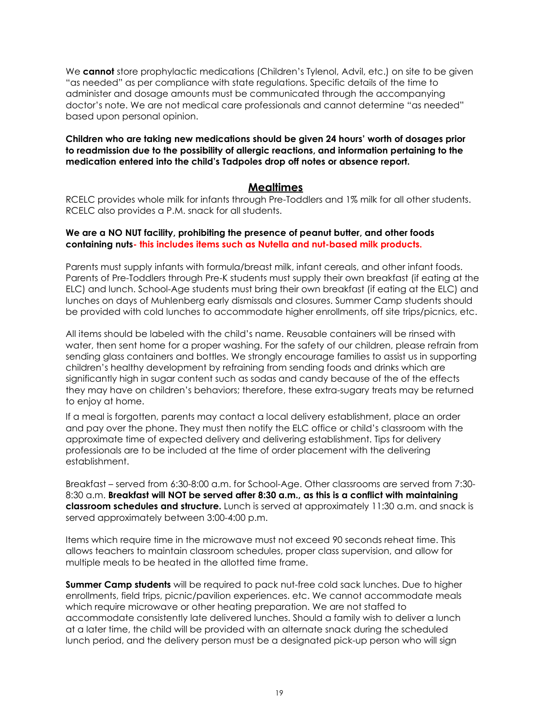We **cannot** store prophylactic medications (Children's Tylenol, Advil, etc.) on site to be given "as needed" as per compliance with state regulations. Specific details of the time to administer and dosage amounts must be communicated through the accompanying doctor's note. We are not medical care professionals and cannot determine "as needed" based upon personal opinion.

#### **Children who are taking new medications should be given 24 hours' worth of dosages prior to readmission due to the possibility of allergic reactions, and information pertaining to the medication entered into the child's Tadpoles drop off notes or absence report.**

#### **Mealtimes**

<span id="page-20-0"></span>RCELC provides whole milk for infants through Pre-Toddlers and 1% milk for all other students. RCELC also provides a P.M. snack for all students.

#### **We are a NO NUT facility, prohibiting the presence of peanut butter, and other foods containing nuts- this includes items such as Nutella and nut-based milk products.**

Parents must supply infants with formula/breast milk, infant cereals, and other infant foods. Parents of Pre-Toddlers through Pre-K students must supply their own breakfast (if eating at the ELC) and lunch. School-Age students must bring their own breakfast (if eating at the ELC) and lunches on days of Muhlenberg early dismissals and closures. Summer Camp students should be provided with cold lunches to accommodate higher enrollments, off site trips/picnics, etc.

All items should be labeled with the child's name. Reusable containers will be rinsed with water, then sent home for a proper washing. For the safety of our children, please refrain from sending glass containers and bottles. We strongly encourage families to assist us in supporting children's healthy development by refraining from sending foods and drinks which are significantly high in sugar content such as sodas and candy because of the of the effects they may have on children's behaviors; therefore, these extra-sugary treats may be returned to enjoy at home.

If a meal is forgotten, parents may contact a local delivery establishment, place an order and pay over the phone. They must then notify the ELC office or child's classroom with the approximate time of expected delivery and delivering establishment. Tips for delivery professionals are to be included at the time of order placement with the delivering establishment.

Breakfast – served from 6:30-8:00 a.m. for School-Age. Other classrooms are served from 7:30- 8:30 a.m. **Breakfast will NOT be served after 8:30 a.m., as this is a conflict with maintaining classroom schedules and structure.** Lunch is served at approximately 11:30 a.m. and snack is served approximately between 3:00-4:00 p.m.

Items which require time in the microwave must not exceed 90 seconds reheat time. This allows teachers to maintain classroom schedules, proper class supervision, and allow for multiple meals to be heated in the allotted time frame.

**Summer Camp students** will be required to pack nut-free cold sack lunches. Due to higher enrollments, field trips, picnic/pavilion experiences. etc. We cannot accommodate meals which require microwave or other heating preparation. We are not staffed to accommodate consistently late delivered lunches. Should a family wish to deliver a lunch at a later time, the child will be provided with an alternate snack during the scheduled lunch period, and the delivery person must be a designated pick-up person who will sign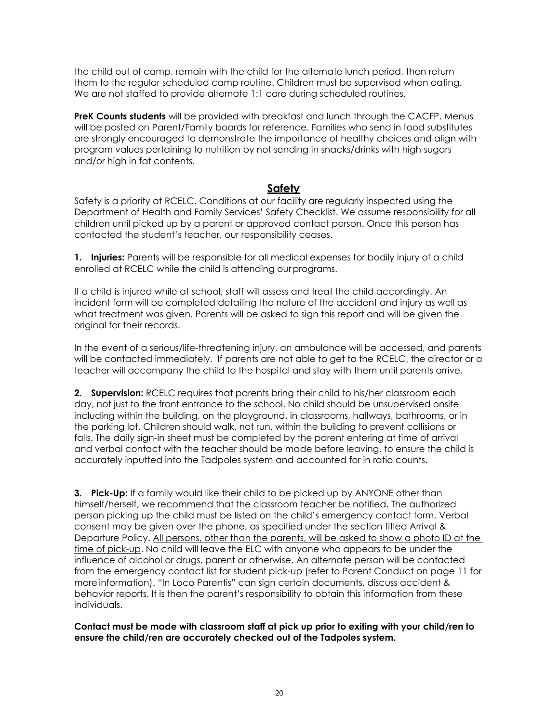the child out of camp, remain with the child for the alternate lunch period, then return them to the regular scheduled camp routine. Children must be supervised when eating. We are not staffed to provide alternate 1:1 care during scheduled routines.

**PreK Counts students** will be provided with breakfast and lunch through the CACFP. Menus will be posted on Parent/Family boards for reference. Families who send in food substitutes are strongly encouraged to demonstrate the importance of healthy choices and align with program values pertaining to nutrition by not sending in snacks/drinks with high sugars and/or high in fat contents.

## **Safety**

<span id="page-21-0"></span>Safety is a priority at RCELC. Conditions at our facility are regularly inspected using the Department of Health and Family Services' Safety Checklist. We assume responsibility for all children until picked up by a parent or approved contact person. Once this person has contacted the student's teacher, our responsibility ceases.

**1. Injuries:** Parents will be responsible for all medical expenses for bodily injury of a child enrolled at RCELC while the child is attending our programs.

If a child is injured while at school, staff will assess and treat the child accordingly. An incident form will be completed detailing the nature of the accident and injury as well as what treatment was given. Parents will be asked to sign this report and will be given the original for their records.

In the event of a serious/life-threatening injury, an ambulance will be accessed, and parents will be contacted immediately. If parents are not able to get to the RCELC, the director or a teacher will accompany the child to the hospital and stay with them until parents arrive.

**2. Supervision:** RCELC requires that parents bring their child to his/her classroom each day, not just to the front entrance to the school. No child should be unsupervised onsite including within the building, on the playground, in classrooms, hallways, bathrooms, or in the parking lot. Children should walk, not run, within the building to prevent collisions or falls. The daily sign-in sheet must be completed by the parent entering at time of arrival and verbal contact with the teacher should be made before leaving, to ensure the child is accurately inputted into the Tadpoles system and accounted for in ratio counts.

**3. Pick-Up:** If a family would like their child to be picked up by ANYONE other than himself/herself, we recommend that the classroom teacher be notified. The authorized person picking up the child must be listed on the child's emergency contact form. Verbal consent may be given over the phone, as specified under the section titled Arrival & Departure Policy. All persons, other than the parents, will be asked to show a photo ID at the time of pick-up. No child will leave the ELC with anyone who appears to be under the influence of alcohol or drugs, parent or otherwise. An alternate person will be contacted from the emergency contact list for student pick-up (refer to Parent Conduct on page 11 for more information). "In Loco Parentis" can sign certain documents, discuss accident & behavior reports. It is then the parent's responsibility to obtain this information from these individuals.

**Contact must be made with classroom staff at pick up prior to exiting with your child/ren to ensure the child/ren are accurately checked out of the Tadpoles system.**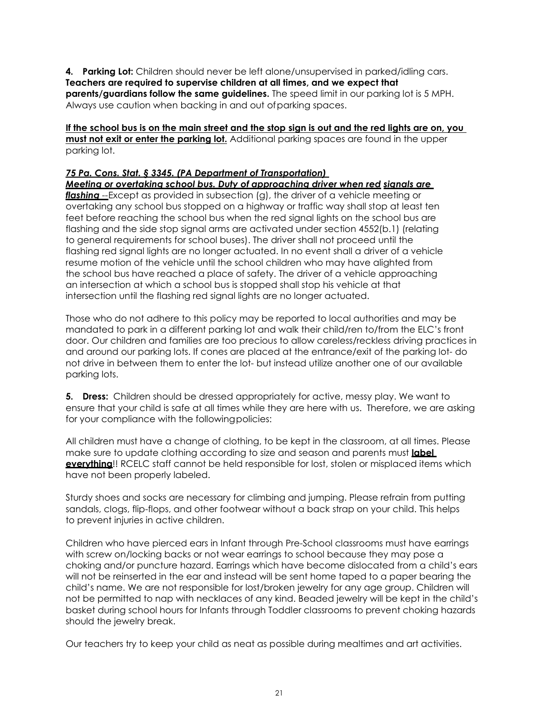**4. Parking Lot:** Children should never be left alone/unsupervised in parked/idling cars. **Teachers are required to supervise children at all times, and we expect that parents/guardians follow the same guidelines.** The speed limit in our parking lot is 5 MPH. Always use caution when backing in and out ofparking spaces.

**If the school bus is on the main street and the stop sign is out and the red lights are on, you must not exit or enter the parking lot.** Additional parking spaces are found in the upper parking lot.

## *75 Pa. Cons. Stat. § 3345. (PA Department of Transportation)*

*Meeting or overtaking school bus. Duty of approaching driver when red signals are* 

*flashing --*Except as provided in subsection (g), the driver of a vehicle meeting or overtaking any school bus stopped on a highway or traffic way shall stop at least ten feet before reaching the school bus when the red signal lights on the school bus are flashing and the side stop signal arms are activated under section 4552(b.1) (relating to general requirements for school buses). The driver shall not proceed until the flashing red signal lights are no longer actuated. In no event shall a driver of a vehicle resume motion of the vehicle until the school children who may have alighted from the school bus have reached a place of safety. The driver of a vehicle approaching an intersection at which a school bus is stopped shall stop his vehicle at that intersection until the flashing red signal lights are no longer actuated.

Those who do not adhere to this policy may be reported to local authorities and may be mandated to park in a different parking lot and walk their child/ren to/from the ELC's front door. Our children and families are too precious to allow careless/reckless driving practices in and around our parking lots. If cones are placed at the entrance/exit of the parking lot- do not drive in between them to enter the lot- but instead utilize another one of our available parking lots.

**5. Dress:** Children should be dressed appropriately for active, messy play. We want to ensure that your child is safe at all times while they are here with us. Therefore, we are asking for your compliance with the followingpolicies:

All children must have a change of clothing, to be kept in the classroom, at all times. Please make sure to update clothing according to size and season and parents must **label everything**!! RCELC staff cannot be held responsible for lost, stolen or misplaced items which have not been properly labeled.

Sturdy shoes and socks are necessary for climbing and jumping. Please refrain from putting sandals, clogs, flip-flops, and other footwear without a back strap on your child. This helps to prevent injuries in active children.

Children who have pierced ears in Infant through Pre-School classrooms must have earrings with screw on/locking backs or not wear earrings to school because they may pose a choking and/or puncture hazard. Earrings which have become dislocated from a child's ears will not be reinserted in the ear and instead will be sent home taped to a paper bearing the child's name. We are not responsible for lost/broken jewelry for any age group. Children will not be permitted to nap with necklaces of any kind. Beaded jewelry will be kept in the child's basket during school hours for Infants through Toddler classrooms to prevent choking hazards should the jewelry break.

Our teachers try to keep your child as neat as possible during mealtimes and art activities.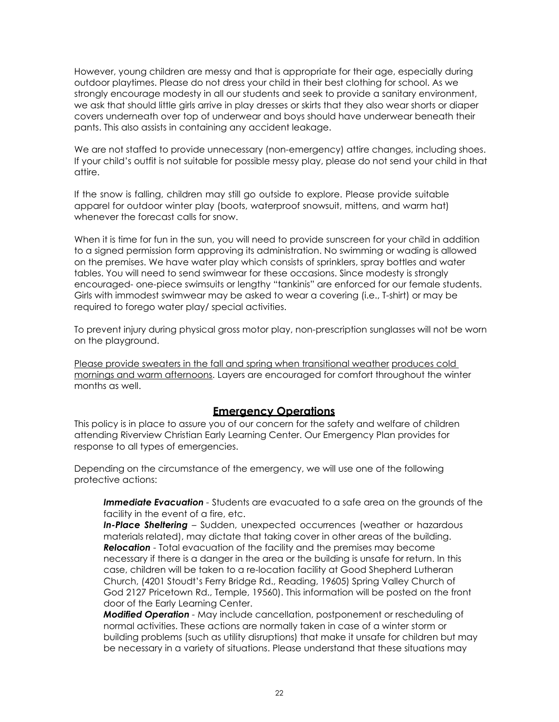However, young children are messy and that is appropriate for their age, especially during outdoor playtimes. Please do not dress your child in their best clothing for school. As we strongly encourage modesty in all our students and seek to provide a sanitary environment, we ask that should little girls arrive in play dresses or skirts that they also wear shorts or diaper covers underneath over top of underwear and boys should have underwear beneath their pants. This also assists in containing any accident leakage.

We are not staffed to provide unnecessary (non-emergency) attire changes, including shoes. If your child's outfit is not suitable for possible messy play, please do not send your child in that attire.

If the snow is falling, children may still go outside to explore. Please provide suitable apparel for outdoor winter play (boots, waterproof snowsuit, mittens, and warm hat) whenever the forecast calls for snow.

When it is time for fun in the sun, you will need to provide sunscreen for your child in addition to a signed permission form approving its administration. No swimming or wading is allowed on the premises. We have water play which consists of sprinklers, spray bottles and water tables. You will need to send swimwear for these occasions. Since modesty is strongly encouraged- one-piece swimsuits or lengthy "tankinis" are enforced for our female students. Girls with immodest swimwear may be asked to wear a covering (i.e., T-shirt) or may be required to forego water play/ special activities.

To prevent injury during physical gross motor play, non-prescription sunglasses will not be worn on the playground.

Please provide sweaters in the fall and spring when transitional weather produces cold mornings and warm afternoons. Layers are encouraged for comfort throughout the winter months as well.

#### **Emergency Operations**

This policy is in place to assure you of our concern for the safety and welfare of children attending Riverview Christian Early Learning Center. Our Emergency Plan provides for response to all types of emergencies.

Depending on the circumstance of the emergency, we will use one of the following protective actions:

**Immediate Evacuation** - Students are evacuated to a safe area on the grounds of the facility in the event of a fire, etc.

**In-Place Sheltering** – Sudden, unexpected occurrences (weather or hazardous materials related), may dictate that taking cover in other areas of the building. *Relocation* - Total evacuation of the facility and the premises may become necessary if there is a danger in the area or the building is unsafe for return. In this case, children will be taken to a re-location facility at Good Shepherd Lutheran Church, (4201 Stoudt's Ferry Bridge Rd., Reading, 19605) Spring Valley Church of God 2127 Pricetown Rd., Temple, 19560). This information will be posted on the front door of the Early Learning Center.

*Modified Operation -* May include cancellation, postponement or rescheduling of normal activities. These actions are normally taken in case of a winter storm or building problems (such as utility disruptions) that make it unsafe for children but may be necessary in a variety of situations. Please understand that these situations may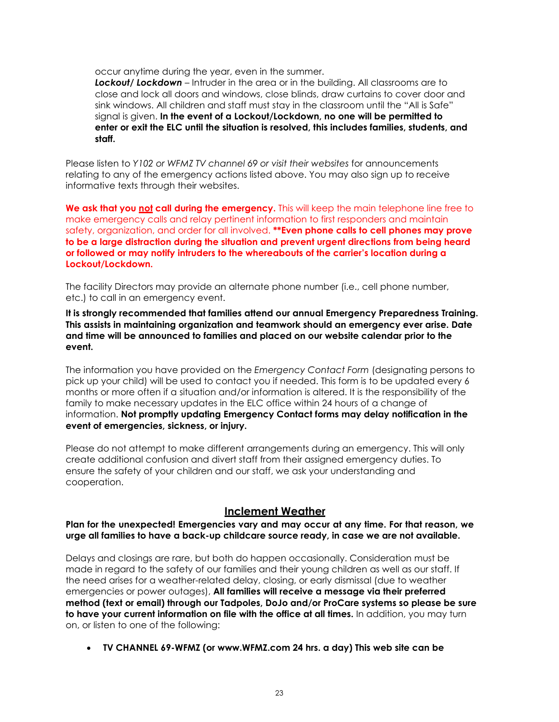occur anytime during the year, even in the summer.

*Lockout/ Lockdown* – Intruder in the area or in the building. All classrooms are to close and lock all doors and windows, close blinds, draw curtains to cover door and sink windows. All children and staff must stay in the classroom until the "All is Safe" signal is given. **In the event of a Lockout/Lockdown, no one will be permitted to enter or exit the ELC until the situation is resolved, this includes families, students, and staff.**

Please listen to *Y102 or WFMZ TV channel 69 or visit their websites* for announcements relating to any of the emergency actions listed above. You may also sign up to receive informative texts through their websites.

**We ask that you not call during the emergency.** This will keep the main telephone line free to make emergency calls and relay pertinent information to first responders and maintain safety, organization, and order for all involved. **\*\*Even phone calls to cell phones may prove to be a large distraction during the situation and prevent urgent directions from being heard or followed or may notify intruders to the whereabouts of the carrier's location during a Lockout/Lockdown.**

The facility Directors may provide an alternate phone number (i.e., cell phone number, etc.) to call in an emergency event.

**It is strongly recommended that families attend our annual Emergency Preparedness Training. This assists in maintaining organization and teamwork should an emergency ever arise. Date and time will be announced to families and placed on our website calendar prior to the event.**

The information you have provided on the *Emergency Contact Form* (designating persons to pick up your child) will be used to contact you if needed. This form is to be updated every 6 months or more often if a situation and/or information is altered. It is the responsibility of the family to make necessary updates in the ELC office within 24 hours of a change of information. **Not promptly updating Emergency Contact forms may delay notification in the event of emergencies, sickness, or injury.**

Please do not attempt to make different arrangements during an emergency. This will only create additional confusion and divert staff from their assigned emergency duties. To ensure the safety of your children and our staff, we ask your understanding and cooperation.

#### **Inclement Weather**

<span id="page-24-0"></span>**Plan for the unexpected! Emergencies vary and may occur at any time. For that reason, we urge all families to have a back-up childcare source ready, in case we are not available.**

Delays and closings are rare, but both do happen occasionally. Consideration must be made in regard to the safety of our families and their young children as well as our staff. If the need arises for a weather-related delay, closing, or early dismissal (due to weather emergencies or power outages), **All families will receive a message via their preferred method (text or email) through our Tadpoles, DoJo and/or ProCare systems so please be sure to have your current information on file with the office at all times.** In addition, you may turn on, or listen to one of the following:

• **TV CHANNEL 6[9-WFMZ \(or www.WFMZ.com 2](http://www.wfmz.com/)4 hrs. a day) This web site can be**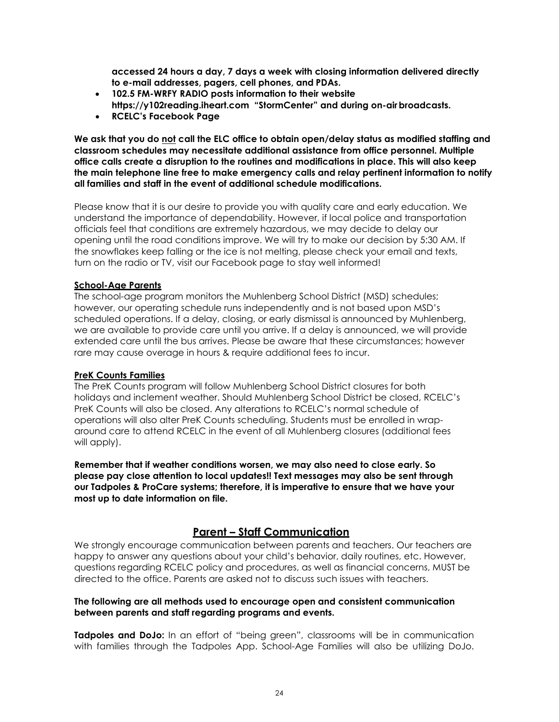**accessed 24 hours a day, 7 days a week with closing information delivered directly to e-mail addresses, pagers, cell phones, and PDAs.**

- **102.5 FM-WRFY RADIO posts information to their website**
- **[https://y102reading.iheart.com "](http://www.y102reading.com/)StormCenter" and during on-airbroadcasts.**
- **RCELC's Facebook Page**

**We ask that you do not call the ELC office to obtain open/delay status as modified staffing and classroom schedules may necessitate additional assistance from office personnel. Multiple office calls create a disruption to the routines and modifications in place. This will also keep the main telephone line free to make emergency calls and relay pertinent information to notify all families and staff in the event of additional schedule modifications.** 

Please know that it is our desire to provide you with quality care and early education. We understand the importance of dependability. However, if local police and transportation officials feel that conditions are extremely hazardous, we may decide to delay our opening until the road conditions improve. We will try to make our decision by 5:30 AM. If the snowflakes keep falling or the ice is not melting, please check your email and texts, turn on the radio or TV, visit our Facebook page to stay well informed!

#### **School-Age Parents**

The school-age program monitors the Muhlenberg School District (MSD) schedules; however, our operating schedule runs independently and is not based upon MSD's scheduled operations. If a delay, closing, or early dismissal is announced by Muhlenberg, we are available to provide care until you arrive. If a delay is announced, we will provide extended care until the bus arrives. Please be aware that these circumstances; however rare may cause overage in hours & require additional fees to incur.

#### **PreK Counts Families**

The PreK Counts program will follow Muhlenberg School District closures for both holidays and inclement weather. Should Muhlenberg School District be closed, RCELC's PreK Counts will also be closed. Any alterations to RCELC's normal schedule of operations will also alter PreK Counts scheduling. Students must be enrolled in wraparound care to attend RCELC in the event of all Muhlenberg closures (additional fees will apply).

**Remember that if weather conditions worsen, we may also need to close early. So please pay close attention to local updates!! Text messages may also be sent through our Tadpoles & ProCare systems; therefore, it is imperative to ensure that we have your most up to date information on file.**

## **Parent – Staff Communication**

<span id="page-25-0"></span>We strongly encourage communication between parents and teachers. Our teachers are happy to answer any questions about your child's behavior, daily routines, etc. However, questions regarding RCELC policy and procedures, as well as financial concerns, MUST be directed to the office. Parents are asked not to discuss such issues with teachers.

#### **The following are all methods used to encourage open and consistent communication between parents and staff regarding programs and events.**

**Tadpoles and DoJo:** In an effort of "being green", classrooms will be in communication with families through the Tadpoles App. School-Age Families will also be utilizing DoJo.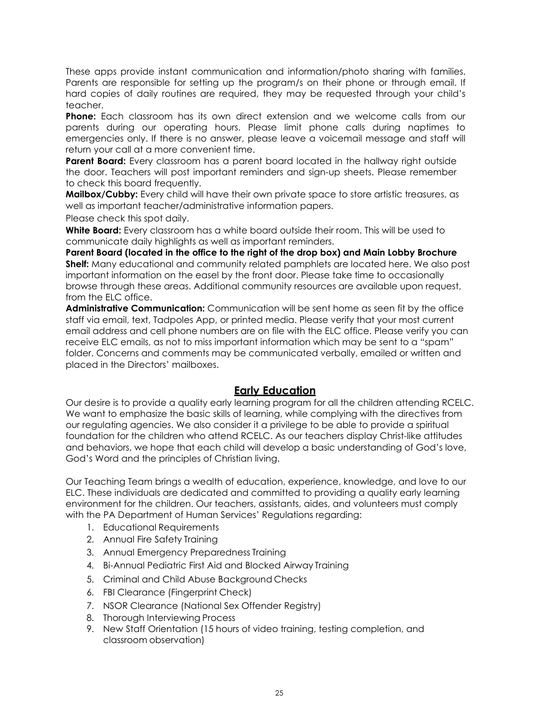These apps provide instant communication and information/photo sharing with families. Parents are responsible for setting up the program/s on their phone or through email. If hard copies of daily routines are required, they may be requested through your child's teacher.

**Phone:** Each classroom has its own direct extension and we welcome calls from our parents during our operating hours. Please limit phone calls during naptimes to emergencies only. If there is no answer, please leave a voicemail message and staff will return your call at a more convenient time.

**Parent Board:** Every classroom has a parent board located in the hallway right outside the door. Teachers will post important reminders and sign-up sheets. Please remember to check this board frequently.

**Mailbox/Cubby:** Every child will have their own private space to store artistic treasures, as well as important teacher/administrative information papers.

Please check this spot daily.

**White Board:** Every classroom has a white board outside their room. This will be used to communicate daily highlights as well as important reminders.

**Parent Board (located in the office to the right of the drop box) and Main Lobby Brochure Shelf:** Many educational and community related pamphlets are located here. We also post important information on the easel by the front door. Please take time to occasionally browse through these areas. Additional community resources are available upon request, from the ELC office.

**Administrative Communication:** Communication will be sent home as seen fit by the office staff via email, text, Tadpoles App, or printed media. Please verify that your most current email address and cell phone numbers are on file with the ELC office. Please verify you can receive ELC emails, as not to miss important information which may be sent to a "spam" folder. Concerns and comments may be communicated verbally, emailed or written and placed in the Directors' mailboxes.

#### **Early Education**

<span id="page-26-0"></span>Our desire is to provide a quality early learning program for all the children attending RCELC. We want to emphasize the basic skills of learning, while complying with the directives from our regulating agencies. We also consider it a privilege to be able to provide a spiritual foundation for the children who attend RCELC. As our teachers display Christ-like attitudes and behaviors, we hope that each child will develop a basic understanding of God's love, God's Word and the principles of Christian living.

Our Teaching Team brings a wealth of education, experience, knowledge, and love to our ELC. These individuals are dedicated and committed to providing a quality early learning environment for the children. Our teachers, assistants, aides, and volunteers must comply with the PA Department of Human Services' Regulations regarding:

- 1. Educational Requirements
- 2. Annual Fire Safety Training
- 3. Annual Emergency Preparedness Training
- 4. Bi-Annual Pediatric First Aid and Blocked Airway Training
- 5. Criminal and Child Abuse Background Checks
- 6. FBI Clearance (Fingerprint Check)
- 7. NSOR Clearance (National Sex Offender Registry)
- 8. Thorough Interviewing Process
- 9. New Staff Orientation (15 hours of video training, testing completion, and classroom observation)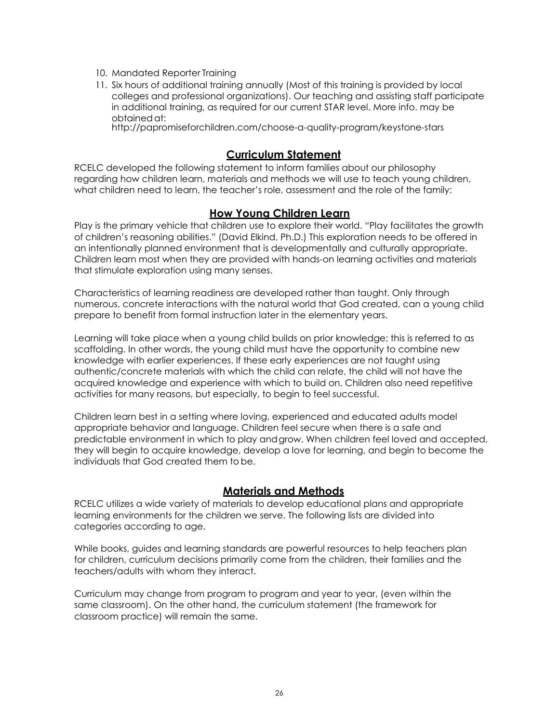- 10. Mandated Reporter Training
- 11. Six hours of additional training annually (Most of this training is provided by local colleges and professional organizations). Our teaching and assisting staff participate in additional training, as required for our current STAR level. More info. may be obtainedat:

[http://papromiseforchildren.com/choose-a-quality-program/keystone-stars](http://papromiseforchildren.com/choose-a-quality-program/keystone-stars/) 

#### <span id="page-27-1"></span>**Curriculum Statement**

<span id="page-27-0"></span>RCELC developed the following statement to inform families about our philosophy regarding how children learn, materials and methods we will use to teach young children, what children need to learn, the teacher's role, assessment and the role of the family:

#### **How Young Children Learn**

Play is the primary vehicle that children use to explore their world. "Play facilitates the growth of children's reasoning abilities." (David Elkind, Ph.D.) This exploration needs to be offered in an intentionally planned environment that is developmentally and culturally appropriate. Children learn most when they are provided with hands-on learning activities and materials that stimulate exploration using many senses.

Characteristics of learning readiness are developed rather than taught. Only through numerous, concrete interactions with the natural world that God created, can a young child prepare to benefit from formal instruction later in the elementary years.

Learning will take place when a young child builds on prior knowledge; this is referred to as scaffolding. In other words, the young child must have the opportunity to combine new knowledge with earlier experiences. If these early experiences are not taught using authentic/concrete materials with which the child can relate, the child will not have the acquired knowledge and experience with which to build on. Children also need repetitive activities for many reasons, but especially, to begin to feel successful.

Children learn best in a setting where loving, experienced and educated adults model appropriate behavior and language. Children feel secure when there is a safe and predictable environment in which to play andgrow. When children feel loved and accepted, they will begin to acquire knowledge, develop a love for learning, and begin to become the individuals that God created them to be.

#### **Materials and Methods**

<span id="page-27-2"></span>RCELC utilizes a wide variety of materials to develop educational plans and appropriate learning environments for the children we serve. The following lists are divided into categories according to age.

While books, guides and learning standards are powerful resources to help teachers plan for children, curriculum decisions primarily come from the children, their families and the teachers/adults with whom they interact.

Curriculum may change from program to program and year to year, (even within the same classroom). On the other hand, the curriculum statement (the framework for classroom practice) will remain the same.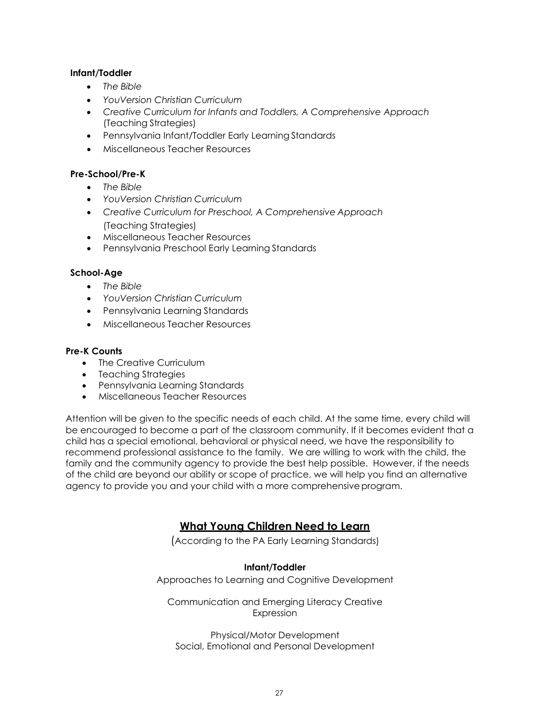#### **Infant/Toddler**

- *The Bible*
- *YouVersion Christian Curriculum*
- *Creative Curriculum for Infants and Toddlers, A Comprehensive Approach*  (Teaching Strategies)
- Pennsylvania Infant/Toddler Early Learning Standards
- Miscellaneous Teacher Resources

#### **Pre-School/Pre-K**

- *The Bible*
- *YouVersion Christian Curriculum*
- *Creative Curriculum for Preschool, A Comprehensive Approach* (Teaching Strategies)
- Miscellaneous Teacher Resources
- Pennsylvania Preschool Early Learning Standards

#### **School-Age**

- *The Bible*
- *YouVersion Christian Curriculum*
- Pennsylvania Learning Standards
- Miscellaneous Teacher Resources

#### **Pre-K Counts**

- The Creative Curriculum
- Teaching Strategies
- Pennsylvania Learning Standards
- Miscellaneous Teacher Resources

<span id="page-28-0"></span>Attention will be given to the specific needs of each child. At the same time, every child will be encouraged to become a part of the classroom community. If it becomes evident that a child has a special emotional, behavioral or physical need, we have the responsibility to recommend professional assistance to the family. We are willing to work with the child, the family and the community agency to provide the best help possible. However, if the needs of the child are beyond our ability or scope of practice, we will help you find an alternative agency to provide you and your child with a more comprehensive program.

## **What Young Children Need to Learn**

(According to the PA Early Learning Standards)

#### **Infant/Toddler**

Approaches to Learning and Cognitive Development

Communication and Emerging Literacy Creative Expression

Physical/Motor Development Social, Emotional and Personal Development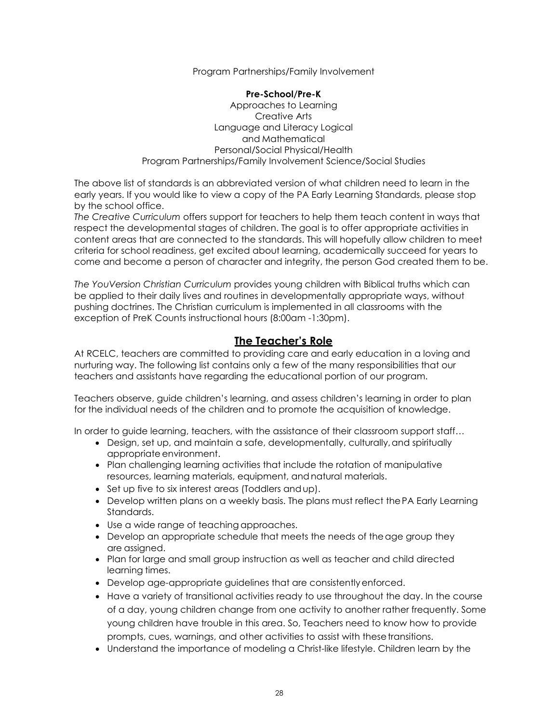Program Partnerships/Family Involvement

#### **Pre-School/Pre-K**

Approaches to Learning Creative Arts Language and Literacy Logical and Mathematical Personal/Social Physical/Health Program Partnerships/Family Involvement Science/Social Studies

The above list of standards is an abbreviated version of what children need to learn in the early years. If you would like to view a copy of the PA Early Learning Standards, please stop by the school office.

*The Creative Curriculum* offers support for teachers to help them teach content in ways that respect the developmental stages of children. The goal is to offer appropriate activities in content areas that are connected to the standards. This will hopefully allow children to meet criteria for school readiness, get excited about learning, academically succeed for years to come and become a person of character and integrity, the person God created them to be.

*The YouVersion Christian Curriculum* provides young children with Biblical truths which can be applied to their daily lives and routines in developmentally appropriate ways, without pushing doctrines. The Christian curriculum is implemented in all classrooms with the exception of PreK Counts instructional hours (8:00am -1:30pm).

## **The Teacher's Role**

<span id="page-29-0"></span>At RCELC, teachers are committed to providing care and early education in a loving and nurturing way. The following list contains only a few of the many responsibilities that our teachers and assistants have regarding the educational portion of our program.

Teachers observe, guide children's learning, and assess children's learning in order to plan for the individual needs of the children and to promote the acquisition of knowledge.

In order to guide learning, teachers, with the assistance of their classroom support staff…

- Design, set up, and maintain a safe, developmentally, culturally, and spiritually appropriate environment.
- Plan challenging learning activities that include the rotation of manipulative resources, learning materials, equipment, andnatural materials.
- Set up five to six interest areas (Toddlers andup).
- Develop written plans on a weekly basis. The plans must reflect thePA Early Learning Standards.
- Use a wide range of teaching approaches.
- Develop an appropriate schedule that meets the needs of the age group they are assigned.
- Plan for large and small group instruction as well as teacher and child directed learning times.
- Develop age-appropriate guidelines that are consistentlyenforced.
- Have a variety of transitional activities ready to use throughout the day. In the course of a day, young children change from one activity to another rather frequently. Some young children have trouble in this area. So, Teachers need to know how to provide prompts, cues, warnings, and other activities to assist with these transitions.
- Understand the importance of modeling a Christ-like lifestyle. Children learn by the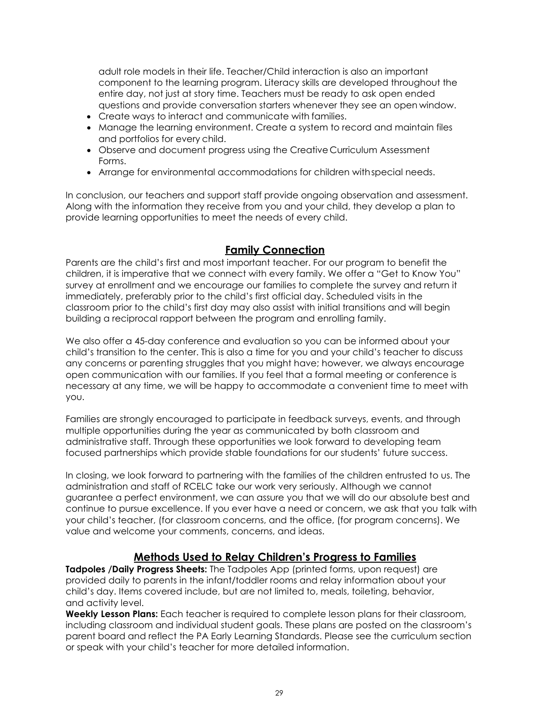adult role models in their life. Teacher/Child interaction is also an important component to the learning program. Literacy skills are developed throughout the entire day, not just at story time. Teachers must be ready to ask open ended questions and provide conversation starters whenever they see an open window.

- Create ways to interact and communicate with families.
- Manage the learning environment. Create a system to record and maintain files and portfolios for every child.
- Observe and document progress using the Creative Curriculum Assessment Forms.
- Arrange for environmental accommodations for children withspecial needs.

In conclusion, our teachers and support staff provide ongoing observation and assessment. Along with the information they receive from you and your child, they develop a plan to provide learning opportunities to meet the needs of every child.

#### **Family Connection**

<span id="page-30-0"></span>Parents are the child's first and most important teacher. For our program to benefit the children, it is imperative that we connect with every family. We offer a "Get to Know You" survey at enrollment and we encourage our families to complete the survey and return it immediately, preferably prior to the child's first official day. Scheduled visits in the classroom prior to the child's first day may also assist with initial transitions and will begin building a reciprocal rapport between the program and enrolling family.

We also offer a 45-day conference and evaluation so you can be informed about your child's transition to the center. This is also a time for you and your child's teacher to discuss any concerns or parenting struggles that you might have; however, we always encourage open communication with our families. If you feel that a formal meeting or conference is necessary at any time, we will be happy to accommodate a convenient time to meet with you.

Families are strongly encouraged to participate in feedback surveys, events, and through multiple opportunities during the year as communicated by both classroom and administrative staff. Through these opportunities we look forward to developing team focused partnerships which provide stable foundations for our students' future success.

In closing, we look forward to partnering with the families of the children entrusted to us. The administration and staff of RCELC take our work very seriously. Although we cannot guarantee a perfect environment, we can assure you that we will do our absolute best and continue to pursue excellence. If you ever have a need or concern, we ask that you talk with your child's teacher, (for classroom concerns, and the office, (for program concerns). We value and welcome your comments, concerns, and ideas.

## **Methods Used to Relay Children's Progress to Families**

**Tadpoles /Daily Progress Sheets:** The Tadpoles App (printed forms, upon request) are provided daily to parents in the infant/toddler rooms and relay information about your child's day. Items covered include, but are not limited to, meals, toileting, behavior, and activity level.

**Weekly Lesson Plans:** Each teacher is required to complete lesson plans for their classroom, including classroom and individual student goals. These plans are posted on the classroom's parent board and reflect the PA Early Learning Standards. Please see the curriculum section or speak with your child's teacher for more detailed information.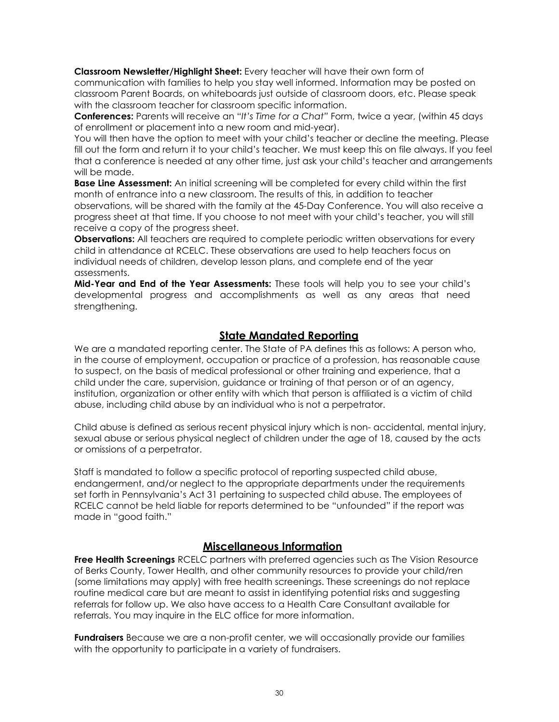**Classroom Newsletter/Highlight Sheet:** Every teacher will have their own form of

communication with families to help you stay well informed. Information may be posted on classroom Parent Boards, on whiteboards just outside of classroom doors, etc. Please speak with the classroom teacher for classroom specific information.

**Conferences:** Parents will receive an "*It's Time for a Chat"* Form, twice a year, (within 45 days of enrollment or placement into a new room and mid-year).

You will then have the option to meet with your child's teacher or decline the meeting. Please fill out the form and return it to your child's teacher. We must keep this on file always. If you feel that a conference is needed at any other time, just ask your child's teacher and arrangements will be made.

**Base Line Assessment:** An initial screening will be completed for every child within the first month of entrance into a new classroom. The results of this, in addition to teacher observations, will be shared with the family at the 45-Day Conference. You will also receive a progress sheet at that time. If you choose to not meet with your child's teacher, you will still receive a copy of the progress sheet.

**Observations:** All teachers are required to complete periodic written observations for every child in attendance at RCELC. These observations are used to help teachers focus on individual needs of children, develop lesson plans, and complete end of the year assessments.

**Mid-Year and End of the Year Assessments:** These tools will help you to see your child's developmental progress and accomplishments as well as any areas that need strengthening.

#### **State Mandated Reporting**

<span id="page-31-0"></span>We are a mandated reporting center. The State of PA defines this as follows: A person who, in the course of employment, occupation or practice of a profession, has reasonable cause to suspect, on the basis of medical professional or other training and experience, that a child under the care, supervision, guidance or training of that person or of an agency, institution, organization or other entity with which that person is affiliated is a victim of child abuse, including child abuse by an individual who is not a perpetrator.

Child abuse is defined as serious recent physical injury which is non- accidental, mental injury, sexual abuse or serious physical neglect of children under the age of 18, caused by the acts or omissions of a perpetrator.

Staff is mandated to follow a specific protocol of reporting suspected child abuse, endangerment, and/or neglect to the appropriate departments under the requirements set forth in Pennsylvania's Act 31 pertaining to suspected child abuse. The employees of RCELC cannot be held liable for reports determined to be "unfounded" if the report was made in "good faith."

## **Miscellaneous Information**

<span id="page-31-1"></span>**Free Health Screenings** RCELC partners with preferred agencies such as The Vision Resource of Berks County, Tower Health, and other community resources to provide your child/ren (some limitations may apply) with free health screenings. These screenings do not replace routine medical care but are meant to assist in identifying potential risks and suggesting referrals for follow up. We also have access to a Health Care Consultant available for referrals. You may inquire in the ELC office for more information.

**Fundraisers** Because we are a non-profit center, we will occasionally provide our families with the opportunity to participate in a variety of fundraisers.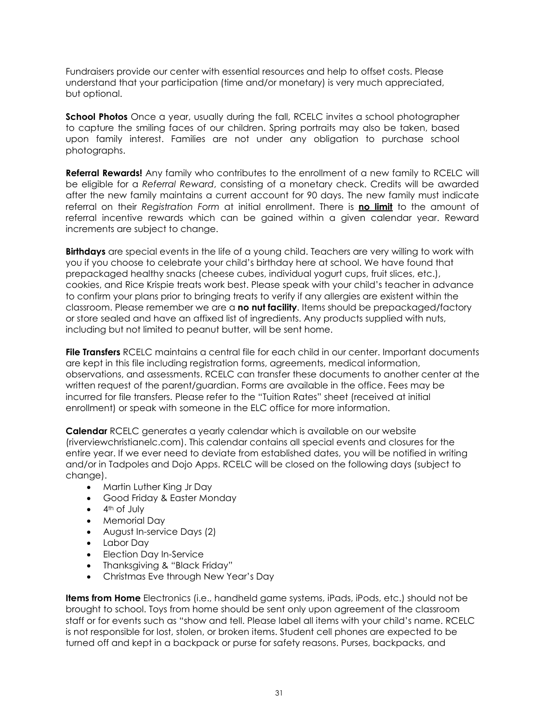Fundraisers provide our center with essential resources and help to offset costs. Please understand that your participation (time and/or monetary) is very much appreciated, but optional.

**School Photos** Once a year, usually during the fall, RCELC invites a school photographer to capture the smiling faces of our children. Spring portraits may also be taken, based upon family interest. Families are not under any obligation to purchase school photographs.

**Referral Rewards!** Any family who contributes to the enrollment of a new family to RCELC will be eligible for a *Referral Reward*, consisting of a monetary check. Credits will be awarded after the new family maintains a current account for 90 days. The new family must indicate referral on their *Registration Form* at initial enrollment. There is **no limit** to the amount of referral incentive rewards which can be gained within a given calendar year. Reward increments are subject to change.

**Birthdays** are special events in the life of a young child. Teachers are very willing to work with you if you choose to celebrate your child's birthday here at school. We have found that prepackaged healthy snacks (cheese cubes, individual yogurt cups, fruit slices, etc.), cookies, and Rice Krispie treats work best. Please speak with your child's teacher in advance to confirm your plans prior to bringing treats to verify if any allergies are existent within the classroom. Please remember we are a **no nut facility**. Items should be prepackaged/factory or store sealed and have an affixed list of ingredients. Any products supplied with nuts, including but not limited to peanut butter, will be sent home.

**File Transfers** RCELC maintains a central file for each child in our center. Important documents are kept in this file including registration forms, agreements, medical information, observations, and assessments. RCELC can transfer these documents to another center at the written request of the parent/guardian. Forms are available in the office. Fees may be incurred for file transfers. Please refer to the "Tuition Rates" sheet (received at initial enrollment) or speak with someone in the ELC office for more information.

**Calendar** RCELC generates a yearly calendar which is available on our website (riverviewchristianelc.com). This calendar contains all special events and closures for the entire year. If we ever need to deviate from established dates, you will be notified in writing and/or in Tadpoles and Dojo Apps. RCELC will be closed on the following days (subject to change).

- Martin Luther King Jr Day
- Good Friday & Easter Monday
- $\bullet$  4<sup>th</sup> of July
- Memorial Day
- August In-service Days (2)
- Labor Day
- Election Day In-Service
- Thanksgiving & "Black Friday"
- Christmas Eve through New Year's Day

**Items from Home** Electronics (i.e., handheld game systems, iPads, iPods, etc.) should not be brought to school. Toys from home should be sent only upon agreement of the classroom staff or for events such as "show and tell. Please label all items with your child's name. RCELC is not responsible for lost, stolen, or broken items. Student cell phones are expected to be turned off and kept in a backpack or purse for safety reasons. Purses, backpacks, and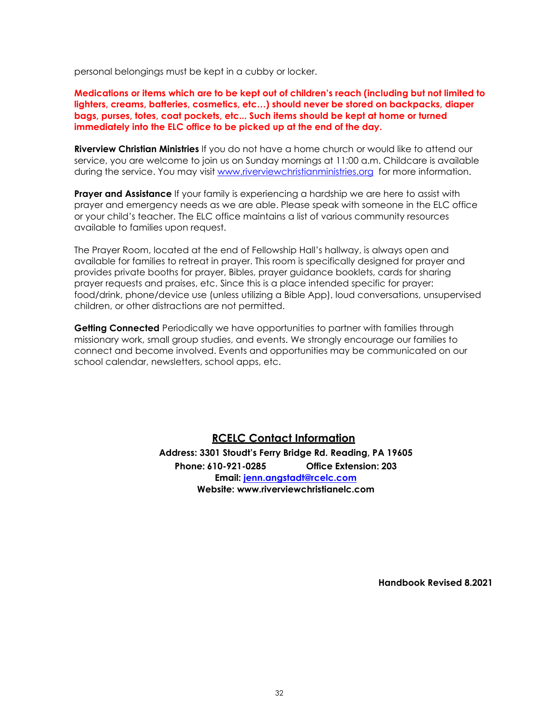personal belongings must be kept in a cubby or locker.

**Medications or items which are to be kept out of children's reach (including but not limited to lighters, creams, batteries, cosmetics, etc…) should never be stored on backpacks, diaper bags, purses, totes, coat pockets, etc... Such items should be kept at home or turned immediately into the ELC office to be picked up at the end of the day.** 

**Riverview Christian Ministries** If you do not have a home church or would like to attend our service, you are welcome to join us on Sunday mornings at 11:00 a.m. Childcare is available during the service. You may visit [www.riverviewchristianministries.org](http://www.riverviewchristianministries.org/) for more information.

**Prayer and Assistance** If your family is experiencing a hardship we are here to assist with prayer and emergency needs as we are able. Please speak with someone in the ELC office or your child's teacher. The ELC office maintains a list of various community resources available to families upon request.

The Prayer Room, located at the end of Fellowship Hall's hallway, is always open and available for families to retreat in prayer. This room is specifically designed for prayer and provides private booths for prayer, Bibles, prayer guidance booklets, cards for sharing prayer requests and praises, etc. Since this is a place intended specific for prayer: food/drink, phone/device use (unless utilizing a Bible App), loud conversations, unsupervised children, or other distractions are not permitted.

**Getting Connected** Periodically we have opportunities to partner with families through missionary work, small group studies, and events. We strongly encourage our families to connect and become involved. Events and opportunities may be communicated on our school calendar, newsletters, school apps, etc.

#### **RCELC Contact Information**

**Address: 3301 Stoudt's Ferry Bridge Rd. Reading, PA 19605 Phone: 610-921-0285 Office Extension: 203 Email: [jenn.angstadt@rcelc.com](mailto:office@rcelc.com) Website: [www.riverviewchristianelc.com](http://www.riverviewchristianelc.com/)**

**Handbook Revised 8.2021**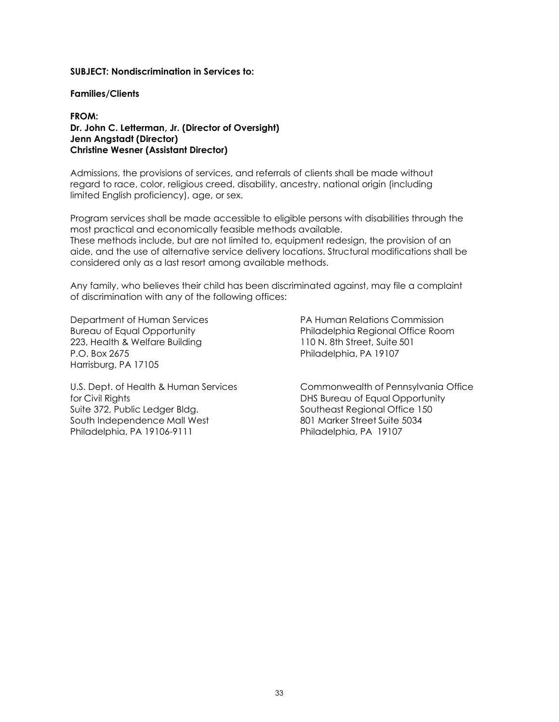#### **SUBJECT: Nondiscrimination in Services to:**

#### **Families/Clients**

#### **FROM: Dr. John C. Letterman, Jr. (Director of Oversight) Jenn Angstadt (Director) Christine Wesner (Assistant Director)**

Admissions, the provisions of services, and referrals of clients shall be made without regard to race, color, religious creed, disability, ancestry, national origin (including limited English proficiency), age, or sex.

Program services shall be made accessible to eligible persons with disabilities through the most practical and economically feasible methods available.

These methods include, but are not limited to, equipment redesign, the provision of an aide, and the use of alternative service delivery locations. Structural modifications shall be considered only as a last resort among available methods.

Any family, who believes their child has been discriminated against, may file a complaint of discrimination with any of the following offices:

223, Health & Welfare Building 110 N. 8th Street, Suite 501 P.O. Box 2675 Philadelphia, PA 19107 Harrisburg, PA 17105

Department of Human Services PA Human Relations Commission Bureau of Equal Opportunity Philadelphia Regional Office Room

for Civil Rights DHS Bureau of Equal Opportunity Suite 372, Public Ledger Bldg. Southeast Regional Office 150 South Independence Mall West 801 Marker Street Suite 5034 Philadelphia, PA 19106-9111 Philadelphia, PA 19107

U.S. Dept. of Health & Human Services Commonwealth of Pennsylvania Office